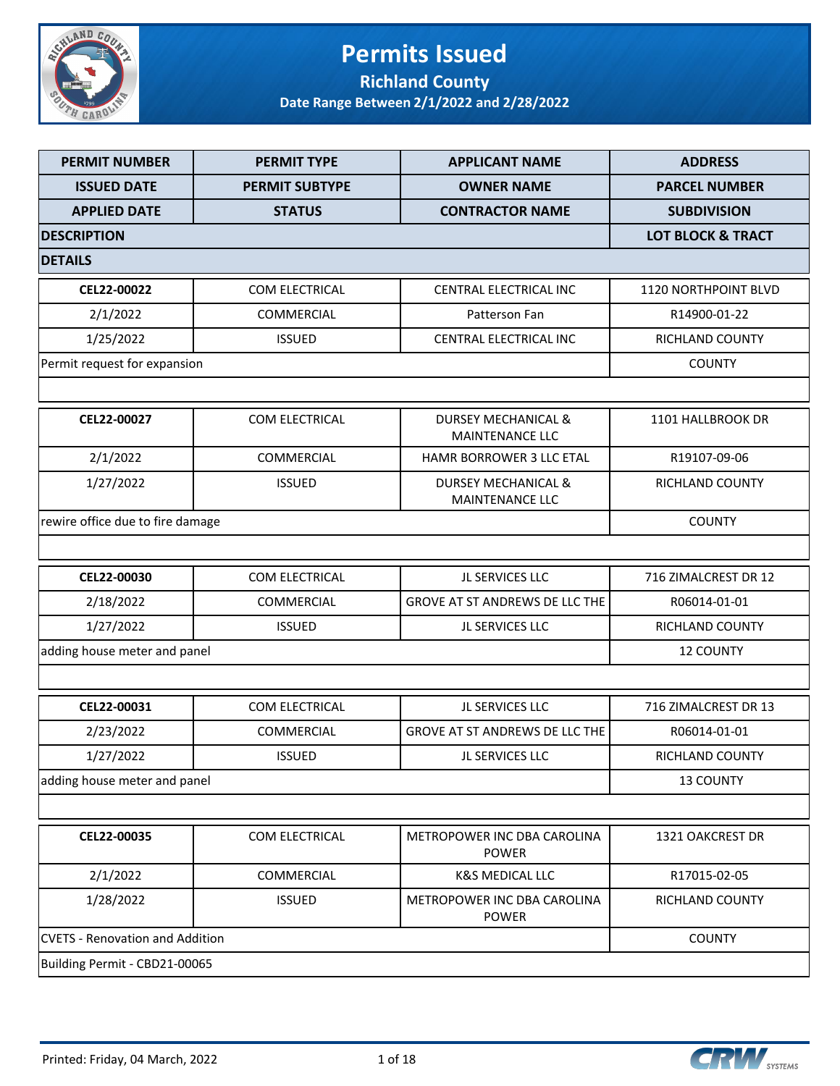

### **Permits Issued Richland County**

| <b>PERMIT NUMBER</b>                   | <b>PERMIT TYPE</b>    | <b>APPLICANT NAME</b>                                    | <b>ADDRESS</b>               |
|----------------------------------------|-----------------------|----------------------------------------------------------|------------------------------|
| <b>ISSUED DATE</b>                     | <b>PERMIT SUBTYPE</b> | <b>OWNER NAME</b>                                        | <b>PARCEL NUMBER</b>         |
| <b>APPLIED DATE</b>                    | <b>STATUS</b>         | <b>CONTRACTOR NAME</b>                                   | <b>SUBDIVISION</b>           |
| <b>DESCRIPTION</b>                     |                       |                                                          | <b>LOT BLOCK &amp; TRACT</b> |
| <b>DETAILS</b>                         |                       |                                                          |                              |
| CEL22-00022                            | COM ELECTRICAL        | CENTRAL ELECTRICAL INC                                   | 1120 NORTHPOINT BLVD         |
| 2/1/2022                               | COMMERCIAL            | Patterson Fan                                            | R14900-01-22                 |
| 1/25/2022                              | <b>ISSUED</b>         | CENTRAL ELECTRICAL INC                                   | <b>RICHLAND COUNTY</b>       |
| Permit request for expansion           |                       |                                                          | <b>COUNTY</b>                |
|                                        |                       |                                                          |                              |
| CEL22-00027                            | COM ELECTRICAL        | <b>DURSEY MECHANICAL &amp;</b><br><b>MAINTENANCE LLC</b> | 1101 HALLBROOK DR            |
| 2/1/2022                               | COMMERCIAL            | <b>HAMR BORROWER 3 LLC ETAL</b>                          | R19107-09-06                 |
| 1/27/2022                              | <b>ISSUED</b>         | <b>DURSEY MECHANICAL &amp;</b><br>MAINTENANCE LLC        | RICHLAND COUNTY              |
| rewire office due to fire damage       |                       |                                                          | <b>COUNTY</b>                |
|                                        |                       |                                                          |                              |
| CEL22-00030                            | COM ELECTRICAL        | JL SERVICES LLC                                          | 716 ZIMALCREST DR 12         |
| 2/18/2022                              | COMMERCIAL            | GROVE AT ST ANDREWS DE LLC THE                           | R06014-01-01                 |
| 1/27/2022                              | <b>ISSUED</b>         | JL SERVICES LLC                                          | RICHLAND COUNTY              |
| adding house meter and panel           |                       |                                                          | <b>12 COUNTY</b>             |
|                                        |                       |                                                          |                              |
| CEL22-00031                            | COM ELECTRICAL        | JL SERVICES LLC                                          | 716 ZIMALCREST DR 13         |
| 2/23/2022                              | COMMERCIAL            | <b>GROVE AT ST ANDREWS DE LLC THE</b>                    | R06014-01-01                 |
| 1/27/2022                              | <b>ISSUED</b>         | JL SERVICES LLC                                          | RICHLAND COUNTY              |
| adding house meter and panel           |                       |                                                          | 13 COUNTY                    |
|                                        |                       |                                                          |                              |
| CEL22-00035                            | COM ELECTRICAL        | METROPOWER INC DBA CAROLINA<br><b>POWER</b>              | 1321 OAKCREST DR             |
| 2/1/2022                               | COMMERCIAL            | <b>K&amp;S MEDICAL LLC</b>                               | R17015-02-05                 |
| 1/28/2022                              | <b>ISSUED</b>         | METROPOWER INC DBA CAROLINA<br><b>POWER</b>              | RICHLAND COUNTY              |
| <b>CVETS - Renovation and Addition</b> | <b>COUNTY</b>         |                                                          |                              |
| Building Permit - CBD21-00065          |                       |                                                          |                              |

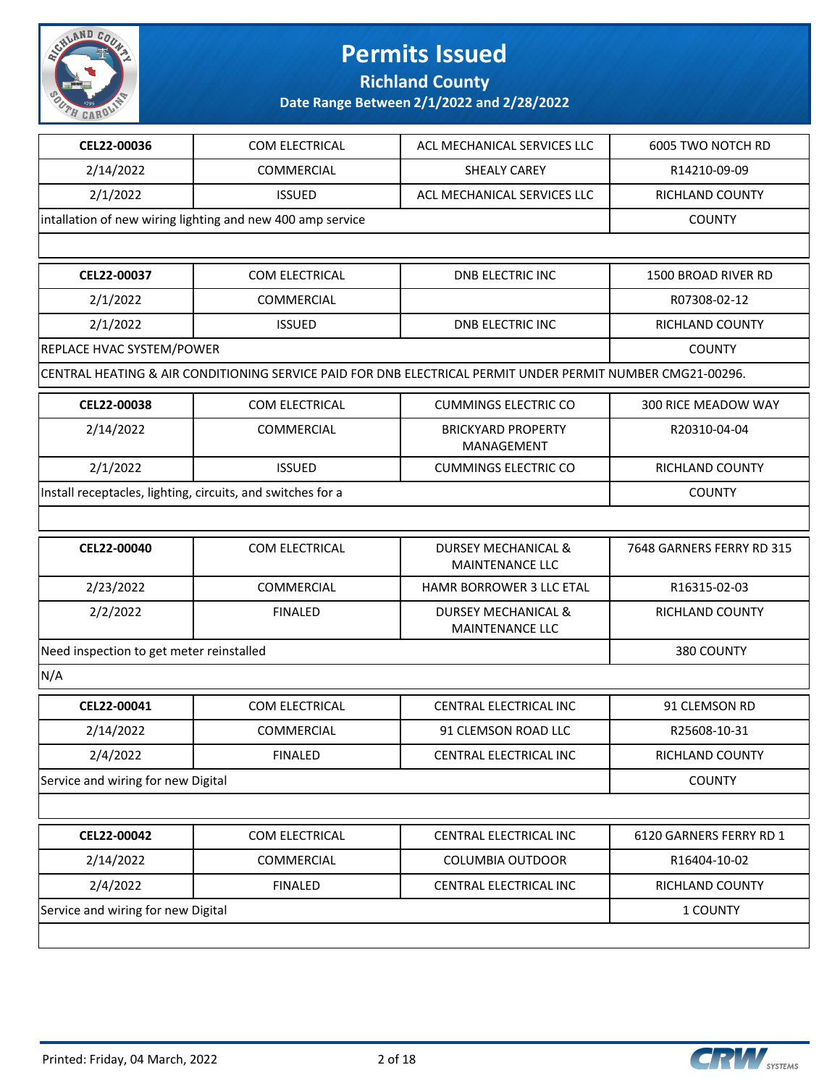

**Richland County**

| CEL22-00036                                                 | COM ELECTRICAL                                             | ACL MECHANICAL SERVICES LLC                                                                                | 6005 TWO NOTCH RD         |
|-------------------------------------------------------------|------------------------------------------------------------|------------------------------------------------------------------------------------------------------------|---------------------------|
| 2/14/2022                                                   | <b>COMMERCIAL</b>                                          | <b>SHEALY CAREY</b>                                                                                        | R14210-09-09              |
| 2/1/2022                                                    | <b>ISSUED</b>                                              | ACL MECHANICAL SERVICES LLC                                                                                | RICHLAND COUNTY           |
|                                                             | intallation of new wiring lighting and new 400 amp service |                                                                                                            | <b>COUNTY</b>             |
|                                                             |                                                            |                                                                                                            |                           |
| CEL22-00037                                                 | COM ELECTRICAL                                             | <b>DNB ELECTRIC INC</b>                                                                                    | 1500 BROAD RIVER RD       |
| 2/1/2022                                                    | COMMERCIAL                                                 |                                                                                                            | R07308-02-12              |
| 2/1/2022                                                    | <b>ISSUED</b>                                              | <b>DNB ELECTRIC INC</b>                                                                                    | RICHLAND COUNTY           |
| REPLACE HVAC SYSTEM/POWER                                   |                                                            |                                                                                                            | <b>COUNTY</b>             |
|                                                             |                                                            | CENTRAL HEATING & AIR CONDITIONING SERVICE PAID FOR DNB ELECTRICAL PERMIT UNDER PERMIT NUMBER CMG21-00296. |                           |
| CEL22-00038                                                 | COM ELECTRICAL                                             | <b>CUMMINGS ELECTRIC CO</b>                                                                                | 300 RICE MEADOW WAY       |
| 2/14/2022                                                   | <b>COMMERCIAL</b>                                          | <b>BRICKYARD PROPERTY</b><br><b>MANAGEMENT</b>                                                             | R20310-04-04              |
| 2/1/2022                                                    | <b>ISSUED</b>                                              | <b>CUMMINGS ELECTRIC CO</b>                                                                                | RICHLAND COUNTY           |
| Install receptacles, lighting, circuits, and switches for a |                                                            |                                                                                                            | <b>COUNTY</b>             |
|                                                             |                                                            |                                                                                                            |                           |
| CEL22-00040                                                 | COM ELECTRICAL                                             | <b>DURSEY MECHANICAL &amp;</b><br><b>MAINTENANCE LLC</b>                                                   | 7648 GARNERS FERRY RD 315 |
| 2/23/2022                                                   | <b>COMMERCIAL</b>                                          | HAMR BORROWER 3 LLC ETAL                                                                                   | R16315-02-03              |
| 2/2/2022                                                    | <b>FINALED</b>                                             | <b>DURSEY MECHANICAL &amp;</b><br><b>MAINTENANCE LLC</b>                                                   | RICHLAND COUNTY           |
| Need inspection to get meter reinstalled                    | 380 COUNTY                                                 |                                                                                                            |                           |
| N/A                                                         |                                                            |                                                                                                            |                           |
| CEL22-00041                                                 | COM ELECTRICAL                                             | CENTRAL ELECTRICAL INC                                                                                     | 91 CLEMSON RD             |
| 2/14/2022                                                   | <b>COMMERCIAL</b>                                          | 91 CLEMSON ROAD LLC                                                                                        | R25608-10-31              |
| 2/4/2022                                                    | <b>FINALED</b>                                             | CENTRAL ELECTRICAL INC                                                                                     | RICHLAND COUNTY           |
| Service and wiring for new Digital                          |                                                            |                                                                                                            | <b>COUNTY</b>             |
|                                                             |                                                            |                                                                                                            |                           |
| CEL22-00042                                                 | COM ELECTRICAL                                             | CENTRAL ELECTRICAL INC                                                                                     | 6120 GARNERS FERRY RD 1   |
| 2/14/2022                                                   | COMMERCIAL                                                 | <b>COLUMBIA OUTDOOR</b>                                                                                    | R16404-10-02              |
| 2/4/2022                                                    | <b>FINALED</b>                                             | CENTRAL ELECTRICAL INC                                                                                     | RICHLAND COUNTY           |
| Service and wiring for new Digital                          | 1 COUNTY                                                   |                                                                                                            |                           |
|                                                             |                                                            |                                                                                                            |                           |

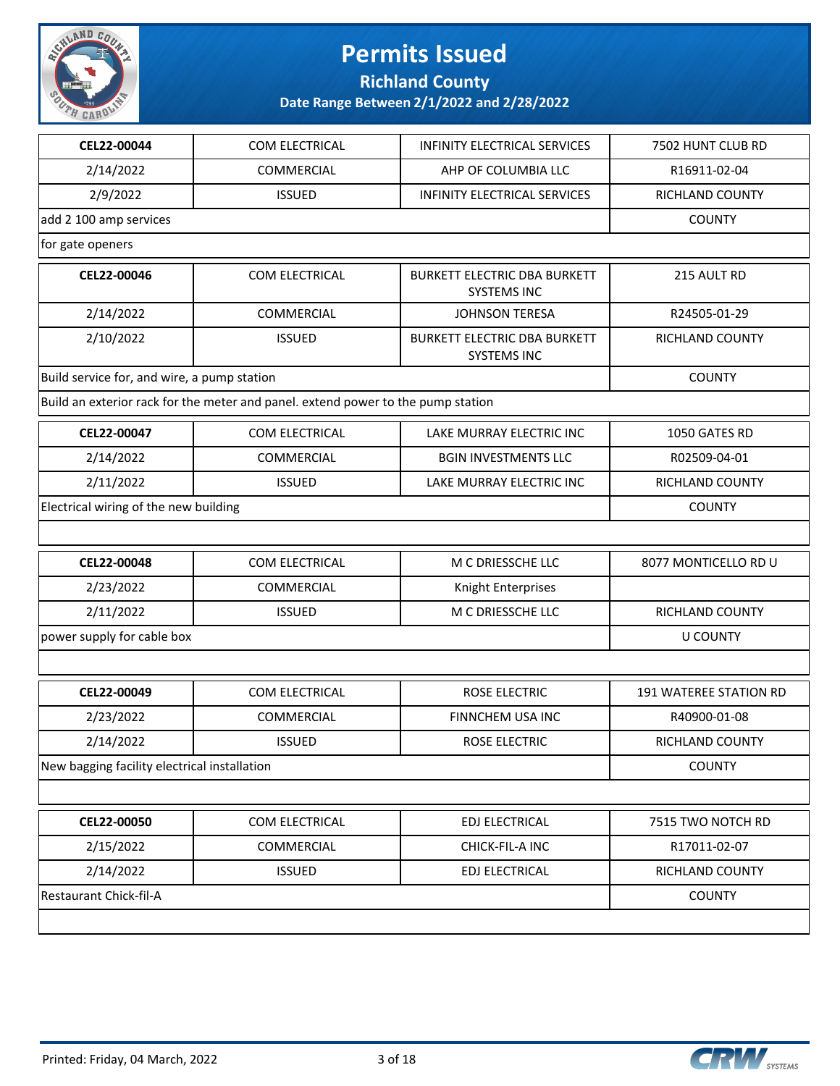

**Richland County**

| CEL22-00044                                  | COM ELECTRICAL                                                                   | <b>INFINITY ELECTRICAL SERVICES</b>                       | 7502 HUNT CLUB RD      |
|----------------------------------------------|----------------------------------------------------------------------------------|-----------------------------------------------------------|------------------------|
| 2/14/2022                                    | COMMERCIAL                                                                       | AHP OF COLUMBIA LLC                                       | R16911-02-04           |
| 2/9/2022                                     | <b>ISSUED</b>                                                                    | <b>INFINITY ELECTRICAL SERVICES</b>                       | RICHLAND COUNTY        |
| add 2 100 amp services                       |                                                                                  |                                                           | <b>COUNTY</b>          |
| for gate openers                             |                                                                                  |                                                           |                        |
| CEL22-00046                                  | COM ELECTRICAL                                                                   | <b>BURKETT ELECTRIC DBA BURKETT</b><br><b>SYSTEMS INC</b> | 215 AULT RD            |
| 2/14/2022                                    | COMMERCIAL                                                                       | <b>JOHNSON TERESA</b>                                     | R24505-01-29           |
| 2/10/2022                                    | <b>ISSUED</b>                                                                    | <b>BURKETT ELECTRIC DBA BURKETT</b><br><b>SYSTEMS INC</b> | RICHLAND COUNTY        |
| Build service for, and wire, a pump station  |                                                                                  |                                                           | <b>COUNTY</b>          |
|                                              | Build an exterior rack for the meter and panel. extend power to the pump station |                                                           |                        |
| CEL22-00047                                  | COM ELECTRICAL                                                                   | LAKE MURRAY ELECTRIC INC                                  | 1050 GATES RD          |
| 2/14/2022                                    | COMMERCIAL                                                                       | <b>BGIN INVESTMENTS LLC</b>                               | R02509-04-01           |
| 2/11/2022                                    | <b>ISSUED</b>                                                                    | LAKE MURRAY ELECTRIC INC                                  | RICHLAND COUNTY        |
| Electrical wiring of the new building        |                                                                                  |                                                           | <b>COUNTY</b>          |
|                                              |                                                                                  |                                                           |                        |
| CEL22-00048                                  | COM ELECTRICAL                                                                   | M C DRIESSCHE LLC                                         | 8077 MONTICELLO RD U   |
| 2/23/2022                                    | <b>COMMERCIAL</b>                                                                | Knight Enterprises                                        |                        |
| 2/11/2022                                    | <b>ISSUED</b>                                                                    | M C DRIESSCHE LLC                                         | RICHLAND COUNTY        |
| power supply for cable box                   |                                                                                  |                                                           | <b>U COUNTY</b>        |
|                                              |                                                                                  |                                                           |                        |
| CEL22-00049                                  | COM ELECTRICAL                                                                   | ROSE ELECTRIC                                             | 191 WATEREE STATION RD |
| 2/23/2022                                    | COMMERCIAL                                                                       | FINNCHEM USA INC                                          | R40900-01-08           |
| 2/14/2022                                    | <b>ISSUED</b>                                                                    | ROSE ELECTRIC                                             | RICHLAND COUNTY        |
| New bagging facility electrical installation |                                                                                  |                                                           | <b>COUNTY</b>          |
|                                              |                                                                                  |                                                           |                        |
| CEL22-00050                                  | COM ELECTRICAL                                                                   | EDJ ELECTRICAL                                            | 7515 TWO NOTCH RD      |
| 2/15/2022                                    | COMMERCIAL                                                                       | CHICK-FIL-A INC                                           | R17011-02-07           |
| 2/14/2022                                    | <b>ISSUED</b>                                                                    | EDJ ELECTRICAL                                            | RICHLAND COUNTY        |
| Restaurant Chick-fil-A                       |                                                                                  |                                                           | <b>COUNTY</b>          |
|                                              |                                                                                  |                                                           |                        |

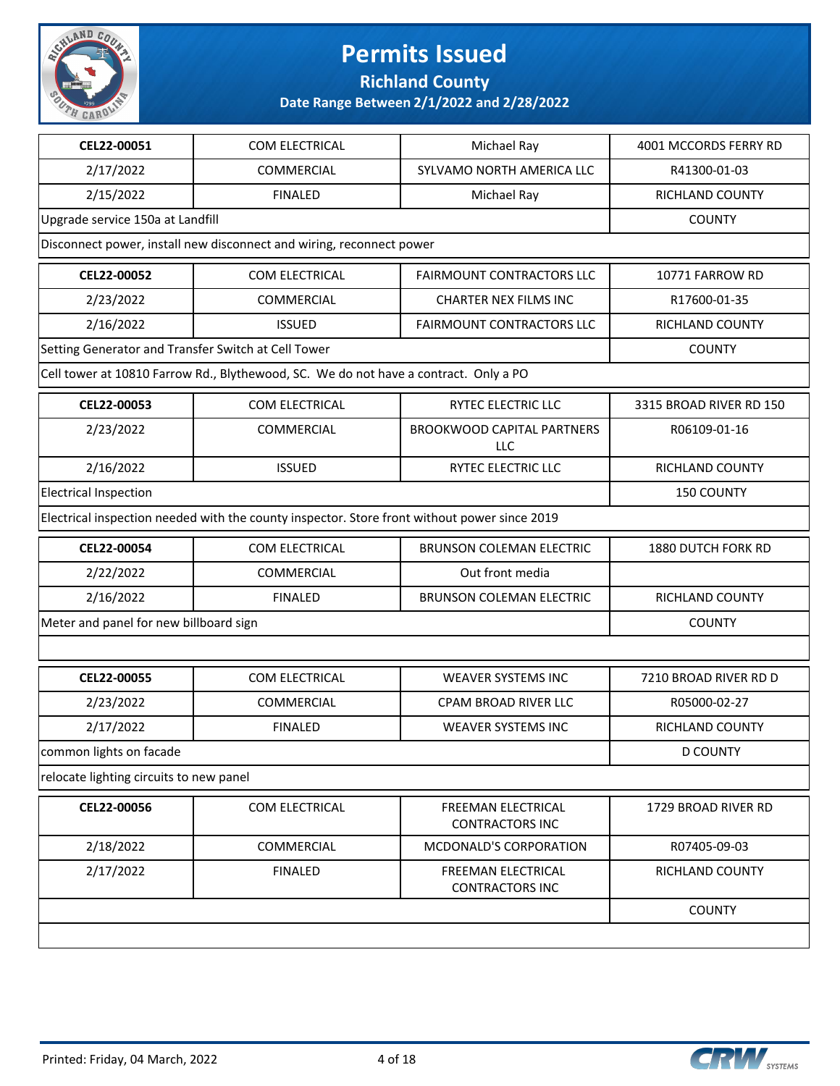

**Richland County**

| CEL22-00051                                         | COM ELECTRICAL                                                                               | Michael Ray                                     | 4001 MCCORDS FERRY RD   |
|-----------------------------------------------------|----------------------------------------------------------------------------------------------|-------------------------------------------------|-------------------------|
| 2/17/2022                                           | COMMERCIAL                                                                                   | SYLVAMO NORTH AMERICA LLC                       | R41300-01-03            |
| 2/15/2022                                           | <b>FINALED</b>                                                                               | Michael Ray                                     | RICHLAND COUNTY         |
| Upgrade service 150a at Landfill                    |                                                                                              |                                                 | <b>COUNTY</b>           |
|                                                     | Disconnect power, install new disconnect and wiring, reconnect power                         |                                                 |                         |
| CEL22-00052                                         | COM ELECTRICAL                                                                               | <b>FAIRMOUNT CONTRACTORS LLC</b>                | 10771 FARROW RD         |
| 2/23/2022                                           | <b>COMMERCIAL</b>                                                                            | <b>CHARTER NEX FILMS INC</b>                    | R17600-01-35            |
| 2/16/2022                                           | <b>ISSUED</b>                                                                                | FAIRMOUNT CONTRACTORS LLC                       | RICHLAND COUNTY         |
| Setting Generator and Transfer Switch at Cell Tower |                                                                                              |                                                 | <b>COUNTY</b>           |
|                                                     | Cell tower at 10810 Farrow Rd., Blythewood, SC. We do not have a contract. Only a PO         |                                                 |                         |
| CEL22-00053                                         | COM ELECTRICAL                                                                               | <b>RYTEC ELECTRIC LLC</b>                       | 3315 BROAD RIVER RD 150 |
| 2/23/2022                                           | COMMERCIAL                                                                                   | <b>BROOKWOOD CAPITAL PARTNERS</b><br><b>LLC</b> | R06109-01-16            |
| 2/16/2022                                           | <b>ISSUED</b>                                                                                | RYTEC ELECTRIC LLC                              | RICHLAND COUNTY         |
| <b>Electrical Inspection</b>                        |                                                                                              |                                                 | <b>150 COUNTY</b>       |
|                                                     | Electrical inspection needed with the county inspector. Store front without power since 2019 |                                                 |                         |
| CEL22-00054                                         | COM ELECTRICAL                                                                               | <b>BRUNSON COLEMAN ELECTRIC</b>                 | 1880 DUTCH FORK RD      |
| 2/22/2022                                           | <b>COMMERCIAL</b>                                                                            | Out front media                                 |                         |
| 2/16/2022                                           | <b>FINALED</b>                                                                               | <b>BRUNSON COLEMAN ELECTRIC</b>                 | RICHLAND COUNTY         |
| Meter and panel for new billboard sign              |                                                                                              |                                                 | <b>COUNTY</b>           |
|                                                     |                                                                                              |                                                 |                         |
| CEL22-00055                                         | COM ELECTRICAL                                                                               | <b>WEAVER SYSTEMS INC</b>                       | 7210 BROAD RIVER RD D   |
| 2/23/2022                                           | <b>COMMERCIAL</b>                                                                            | CPAM BROAD RIVER LLC                            | R05000-02-27            |
| 2/17/2022                                           | <b>FINALED</b>                                                                               | <b>WEAVER SYSTEMS INC</b>                       | RICHLAND COUNTY         |
| common lights on facade                             |                                                                                              |                                                 | <b>D COUNTY</b>         |
| relocate lighting circuits to new panel             |                                                                                              |                                                 |                         |
| CEL22-00056                                         | COM ELECTRICAL                                                                               | FREEMAN ELECTRICAL<br><b>CONTRACTORS INC</b>    | 1729 BROAD RIVER RD     |
| 2/18/2022                                           | COMMERCIAL                                                                                   | <b>MCDONALD'S CORPORATION</b>                   | R07405-09-03            |
| 2/17/2022                                           | <b>FINALED</b>                                                                               | FREEMAN ELECTRICAL<br><b>CONTRACTORS INC</b>    | RICHLAND COUNTY         |
|                                                     |                                                                                              |                                                 | <b>COUNTY</b>           |
|                                                     |                                                                                              |                                                 |                         |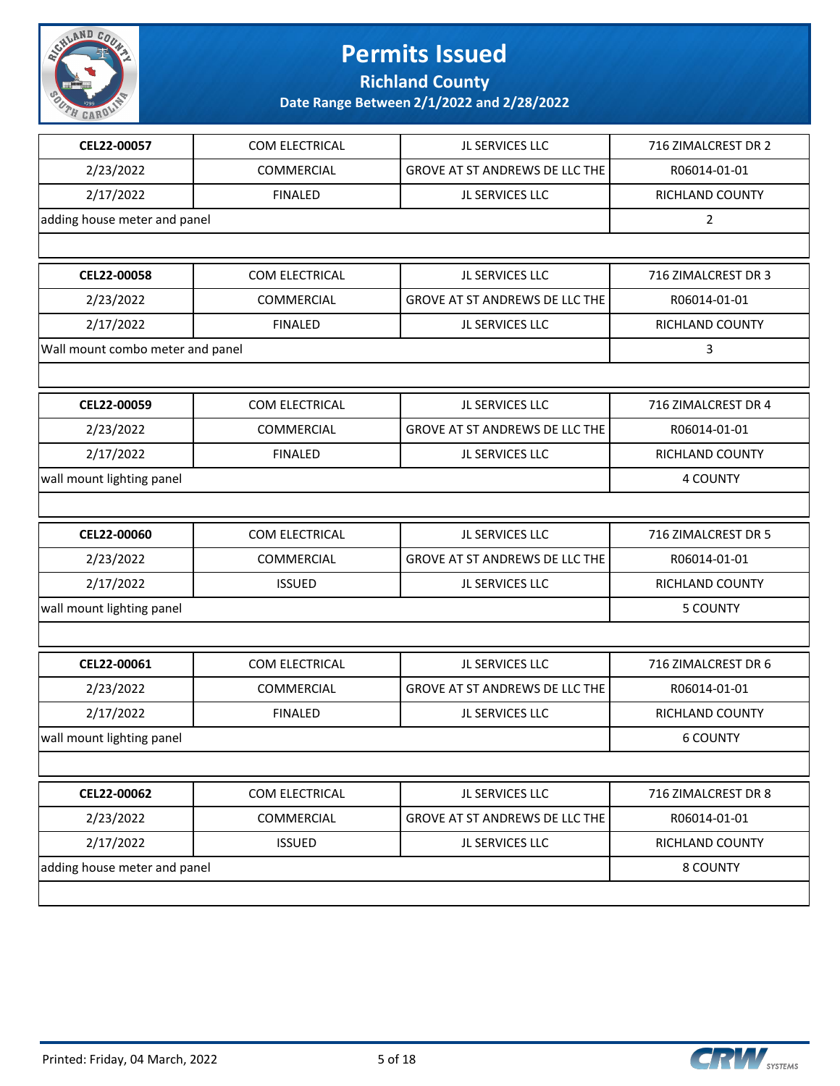

**Richland County**

| CEL22-00057                      | COM ELECTRICAL               | JL SERVICES LLC                | 716 ZIMALCREST DR 2 |
|----------------------------------|------------------------------|--------------------------------|---------------------|
| 2/23/2022                        | <b>COMMERCIAL</b>            | GROVE AT ST ANDREWS DE LLC THE | R06014-01-01        |
| 2/17/2022                        | <b>FINALED</b>               | JL SERVICES LLC                | RICHLAND COUNTY     |
| adding house meter and panel     |                              |                                | $\overline{2}$      |
|                                  |                              |                                |                     |
| CEL22-00058                      | COM ELECTRICAL               | JL SERVICES LLC                | 716 ZIMALCREST DR 3 |
| 2/23/2022                        | <b>COMMERCIAL</b>            | GROVE AT ST ANDREWS DE LLC THE | R06014-01-01        |
| 2/17/2022                        | <b>FINALED</b>               | JL SERVICES LLC                | RICHLAND COUNTY     |
| Wall mount combo meter and panel |                              |                                | 3                   |
|                                  |                              |                                |                     |
| CEL22-00059                      | COM ELECTRICAL               | JL SERVICES LLC                | 716 ZIMALCREST DR 4 |
| 2/23/2022                        | COMMERCIAL                   | GROVE AT ST ANDREWS DE LLC THE | R06014-01-01        |
| 2/17/2022                        | <b>FINALED</b>               | JL SERVICES LLC                | RICHLAND COUNTY     |
| wall mount lighting panel        |                              |                                | 4 COUNTY            |
|                                  |                              |                                |                     |
| CEL22-00060                      | COM ELECTRICAL               | JL SERVICES LLC                | 716 ZIMALCREST DR 5 |
| 2/23/2022                        | COMMERCIAL                   | GROVE AT ST ANDREWS DE LLC THE | R06014-01-01        |
| 2/17/2022                        | <b>ISSUED</b>                | JL SERVICES LLC                | RICHLAND COUNTY     |
| wall mount lighting panel        | 5 COUNTY                     |                                |                     |
|                                  |                              |                                |                     |
| CEL22-00061                      | COM ELECTRICAL               | JL SERVICES LLC                | 716 ZIMALCREST DR 6 |
| 2/23/2022                        | COMMERCIAL                   | GROVE AT ST ANDREWS DE LLC THE | R06014-01-01        |
| 2/17/2022                        | <b>FINALED</b>               | JL SERVICES LLC                | RICHLAND COUNTY     |
| wall mount lighting panel        |                              |                                | <b>6 COUNTY</b>     |
|                                  |                              |                                |                     |
| CEL22-00062                      | COM ELECTRICAL               | JL SERVICES LLC                | 716 ZIMALCREST DR 8 |
| 2/23/2022                        | COMMERCIAL                   | GROVE AT ST ANDREWS DE LLC THE | R06014-01-01        |
| 2/17/2022                        | <b>ISSUED</b>                | JL SERVICES LLC                | RICHLAND COUNTY     |
|                                  | adding house meter and panel |                                |                     |
|                                  |                              |                                |                     |

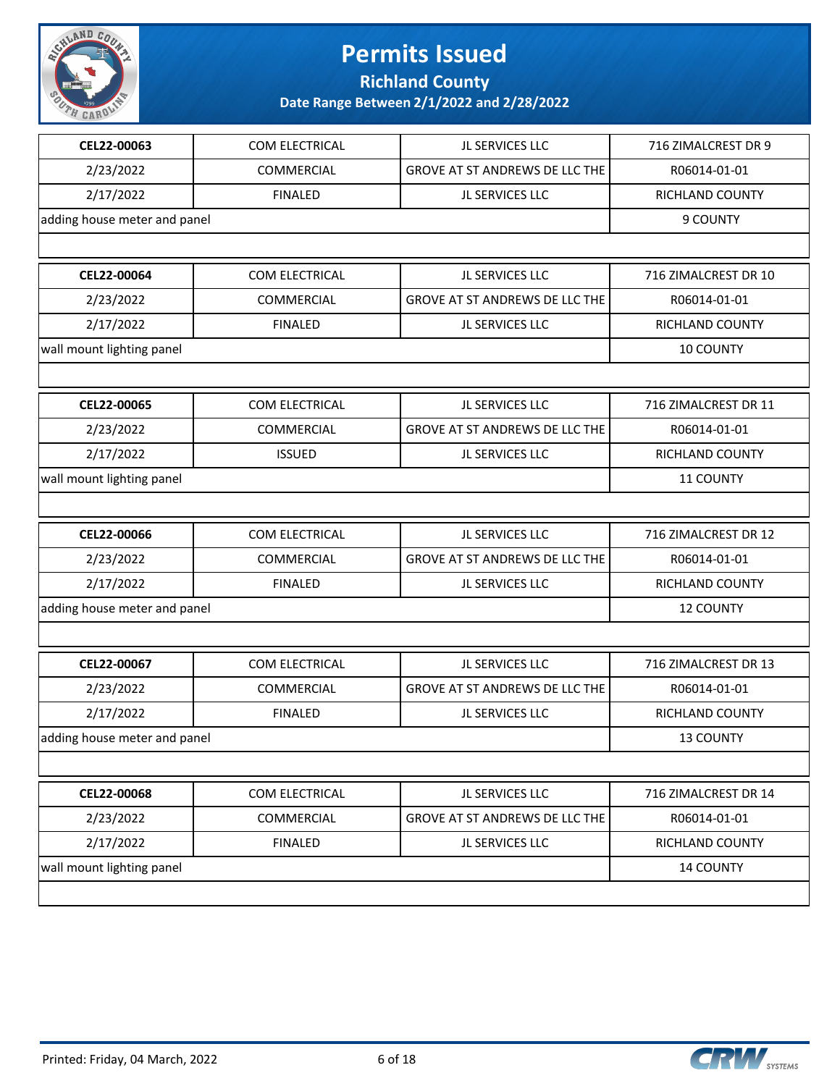

**Richland County**

| CEL22-00063                  | COM ELECTRICAL    | JL SERVICES LLC                       | 716 ZIMALCREST DR 9  |
|------------------------------|-------------------|---------------------------------------|----------------------|
| 2/23/2022                    | <b>COMMERCIAL</b> | GROVE AT ST ANDREWS DE LLC THE        | R06014-01-01         |
| 2/17/2022                    | <b>FINALED</b>    | JL SERVICES LLC                       | RICHLAND COUNTY      |
| adding house meter and panel |                   |                                       | 9 COUNTY             |
|                              |                   |                                       |                      |
| CEL22-00064                  | COM ELECTRICAL    | JL SERVICES LLC                       | 716 ZIMALCREST DR 10 |
| 2/23/2022                    | COMMERCIAL        | GROVE AT ST ANDREWS DE LLC THE        | R06014-01-01         |
| 2/17/2022                    | <b>FINALED</b>    | JL SERVICES LLC                       | RICHLAND COUNTY      |
| wall mount lighting panel    |                   |                                       | 10 COUNTY            |
|                              |                   |                                       |                      |
| CEL22-00065                  | COM ELECTRICAL    | JL SERVICES LLC                       | 716 ZIMALCREST DR 11 |
| 2/23/2022                    | COMMERCIAL        | <b>GROVE AT ST ANDREWS DE LLC THE</b> | R06014-01-01         |
| 2/17/2022                    | <b>ISSUED</b>     | JL SERVICES LLC                       | RICHLAND COUNTY      |
| wall mount lighting panel    |                   |                                       | 11 COUNTY            |
|                              |                   |                                       |                      |
| CEL22-00066                  | COM ELECTRICAL    | JL SERVICES LLC                       | 716 ZIMALCREST DR 12 |
| 2/23/2022                    | COMMERCIAL        | GROVE AT ST ANDREWS DE LLC THE        | R06014-01-01         |
| 2/17/2022                    | <b>FINALED</b>    | JL SERVICES LLC                       | RICHLAND COUNTY      |
| adding house meter and panel |                   |                                       | <b>12 COUNTY</b>     |
|                              |                   |                                       |                      |
| CEL22-00067                  | COM ELECTRICAL    | JL SERVICES LLC                       | 716 ZIMALCREST DR 13 |
| 2/23/2022                    | <b>COMMERCIAL</b> | GROVE AT ST ANDREWS DE LLC THE        | R06014-01-01         |
| 2/17/2022                    | <b>FINALED</b>    | JL SERVICES LLC                       | RICHLAND COUNTY      |
| adding house meter and panel |                   |                                       | <b>13 COUNTY</b>     |
|                              |                   |                                       |                      |
| CEL22-00068                  | COM ELECTRICAL    | JL SERVICES LLC                       | 716 ZIMALCREST DR 14 |
| 2/23/2022                    | COMMERCIAL        | GROVE AT ST ANDREWS DE LLC THE        | R06014-01-01         |
| 2/17/2022                    | <b>FINALED</b>    | JL SERVICES LLC                       | RICHLAND COUNTY      |
| wall mount lighting panel    |                   |                                       | 14 COUNTY            |
|                              |                   |                                       |                      |
|                              |                   |                                       |                      |

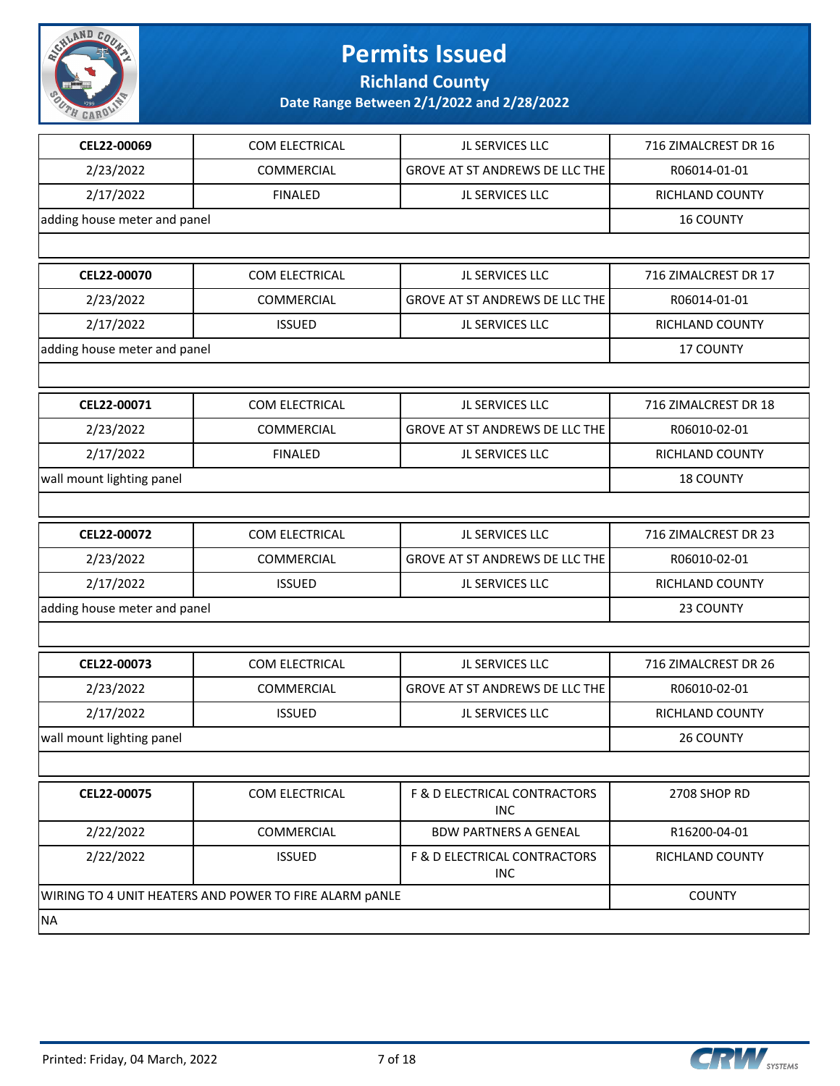

**Richland County**

| CEL22-00069                                            | COM ELECTRICAL    | JL SERVICES LLC                            | 716 ZIMALCREST DR 16 |
|--------------------------------------------------------|-------------------|--------------------------------------------|----------------------|
| 2/23/2022                                              | <b>COMMERCIAL</b> | GROVE AT ST ANDREWS DE LLC THE             | R06014-01-01         |
| 2/17/2022                                              | <b>FINALED</b>    | JL SERVICES LLC                            | RICHLAND COUNTY      |
| adding house meter and panel                           |                   |                                            | <b>16 COUNTY</b>     |
|                                                        |                   |                                            |                      |
| CEL22-00070                                            | COM ELECTRICAL    | JL SERVICES LLC                            | 716 ZIMALCREST DR 17 |
| 2/23/2022                                              | COMMERCIAL        | <b>GROVE AT ST ANDREWS DE LLC THE</b>      | R06014-01-01         |
| 2/17/2022                                              | <b>ISSUED</b>     | JL SERVICES LLC                            | RICHLAND COUNTY      |
| adding house meter and panel                           |                   |                                            | <b>17 COUNTY</b>     |
|                                                        |                   |                                            |                      |
| CEL22-00071                                            | COM ELECTRICAL    | JL SERVICES LLC                            | 716 ZIMALCREST DR 18 |
| 2/23/2022                                              | COMMERCIAL        | GROVE AT ST ANDREWS DE LLC THE             | R06010-02-01         |
| 2/17/2022                                              | <b>FINALED</b>    | JL SERVICES LLC                            | RICHLAND COUNTY      |
| wall mount lighting panel                              |                   |                                            | <b>18 COUNTY</b>     |
|                                                        |                   |                                            |                      |
| CEL22-00072                                            | COM ELECTRICAL    | JL SERVICES LLC                            | 716 ZIMALCREST DR 23 |
| 2/23/2022                                              | COMMERCIAL        | GROVE AT ST ANDREWS DE LLC THE             | R06010-02-01         |
| 2/17/2022                                              | <b>ISSUED</b>     | JL SERVICES LLC                            | RICHLAND COUNTY      |
| adding house meter and panel                           |                   |                                            | 23 COUNTY            |
|                                                        |                   |                                            |                      |
| CEL22-00073                                            | COM ELECTRICAL    | JL SERVICES LLC                            | 716 ZIMALCREST DR 26 |
| 2/23/2022                                              | COMMERCIAL        | GROVE AT ST ANDREWS DE LLC THE             | R06010-02-01         |
| 2/17/2022                                              | <b>ISSUED</b>     | JL SERVICES LLC                            | RICHLAND COUNTY      |
| wall mount lighting panel                              |                   |                                            | 26 COUNTY            |
|                                                        |                   |                                            |                      |
| CEL22-00075                                            | COM ELECTRICAL    | F & D ELECTRICAL CONTRACTORS<br><b>INC</b> | 2708 SHOP RD         |
| 2/22/2022                                              | COMMERCIAL        | <b>BDW PARTNERS A GENEAL</b>               | R16200-04-01         |
| 2/22/2022                                              | <b>ISSUED</b>     | F & D ELECTRICAL CONTRACTORS<br><b>INC</b> | RICHLAND COUNTY      |
| WIRING TO 4 UNIT HEATERS AND POWER TO FIRE ALARM PANLE | <b>COUNTY</b>     |                                            |                      |
| <b>NA</b>                                              |                   |                                            |                      |
|                                                        |                   |                                            |                      |

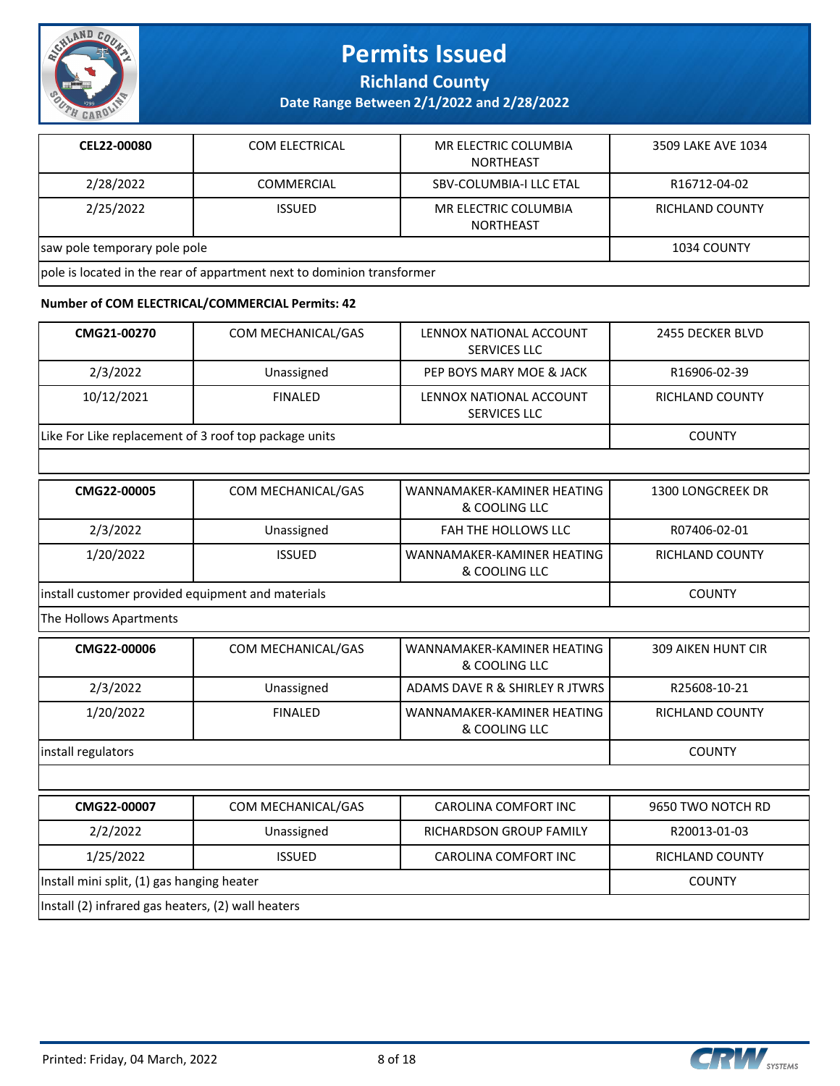

**Richland County**

**Date Range Between 2/1/2022 and 2/28/2022**

| CEL22-00080                                                            | <b>COM ELECTRICAL</b> | MR ELECTRIC COLUMBIA<br>NORTHEAST | 3509 LAKE AVE 1034 |
|------------------------------------------------------------------------|-----------------------|-----------------------------------|--------------------|
| 2/28/2022                                                              | COMMERCIAL            | SBV-COLUMBIA-I LLC ETAL           | R16712-04-02       |
| 2/25/2022                                                              | <b>ISSUED</b>         | MR ELECTRIC COLUMBIA<br>NORTHEAST | RICHLAND COUNTY    |
| saw pole temporary pole pole                                           | 1034 COUNTY           |                                   |                    |
| pole is located in the rear of appartment next to dominion transformer |                       |                                   |                    |

#### **Number of COM ELECTRICAL/COMMERCIAL Permits: 42**

| CMG21-00270                                           | COM MECHANICAL/GAS | LENNOX NATIONAL ACCOUNT<br><b>SERVICES LLC</b> | 2455 DECKER BLVD         |
|-------------------------------------------------------|--------------------|------------------------------------------------|--------------------------|
| 2/3/2022                                              | Unassigned         | PEP BOYS MARY MOE & JACK                       | R16906-02-39             |
| 10/12/2021                                            | <b>FINALED</b>     | LENNOX NATIONAL ACCOUNT<br><b>SERVICES LLC</b> | RICHLAND COUNTY          |
| Like For Like replacement of 3 roof top package units |                    |                                                | <b>COUNTY</b>            |
|                                                       |                    |                                                |                          |
| CMG22-00005                                           | COM MECHANICAL/GAS | WANNAMAKER-KAMINER HEATING<br>& COOLING LLC    | <b>1300 LONGCREEK DR</b> |
| 2/3/2022                                              | Unassigned         | <b>FAH THE HOLLOWS LLC</b>                     | R07406-02-01             |
| 1/20/2022                                             | <b>ISSUED</b>      | WANNAMAKER-KAMINER HEATING<br>& COOLING LLC    | RICHLAND COUNTY          |
| install customer provided equipment and materials     | <b>COUNTY</b>      |                                                |                          |
| The Hollows Apartments                                |                    |                                                |                          |
| CMG22-00006                                           | COM MECHANICAL/GAS | WANNAMAKER-KAMINER HEATING                     | 309 AIKEN HUNT CIR       |

| CMG22-00006                                | COM MECHANICAL/GAS | WANNAMAKER-KAMINER HEATING<br>& COOLING LLC        | <b>309 AIKEN HUNT CIR</b> |  |  |
|--------------------------------------------|--------------------|----------------------------------------------------|---------------------------|--|--|
| 2/3/2022                                   | Unassigned         | ADAMS DAVE R & SHIRLEY R JTWRS                     | R25608-10-21              |  |  |
| 1/20/2022                                  | <b>FINALED</b>     | WANNAMAKER-KAMINER HEATING<br>& COOLING LLC        | RICHLAND COUNTY           |  |  |
| install regulators                         |                    |                                                    |                           |  |  |
|                                            |                    |                                                    |                           |  |  |
| CMG22-00007                                | COM MECHANICAL/GAS | CAROLINA COMFORT INC                               | 9650 TWO NOTCH RD         |  |  |
| 2/2/2022                                   | Unassigned         | RICHARDSON GROUP FAMILY                            | R20013-01-03              |  |  |
| 1/25/2022                                  | <b>ISSUED</b>      | CAROLINA COMFORT INC                               | <b>RICHLAND COUNTY</b>    |  |  |
| Install mini split, (1) gas hanging heater |                    |                                                    | <b>COUNTY</b>             |  |  |
|                                            |                    | Install (2) infrared gas heaters, (2) wall heaters |                           |  |  |

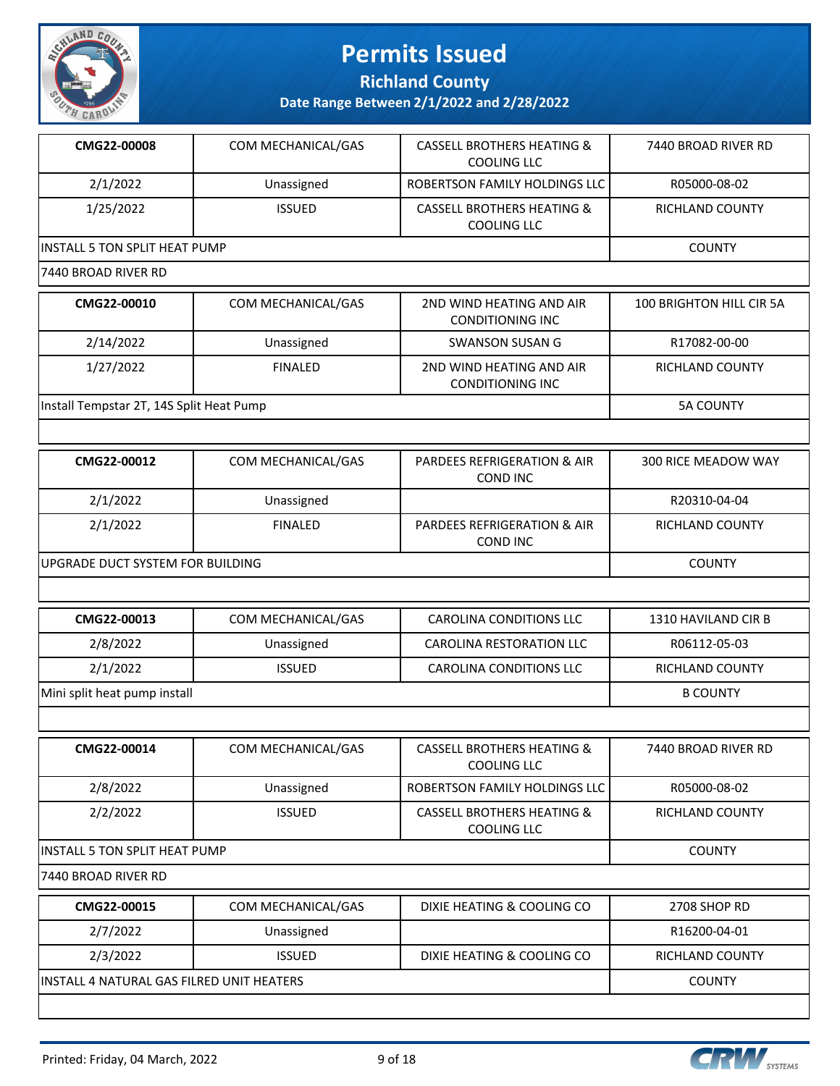

**Richland County**

| CMG22-00008                               | COM MECHANICAL/GAS | <b>CASSELL BROTHERS HEATING &amp;</b><br><b>COOLING LLC</b> | 7440 BROAD RIVER RD        |
|-------------------------------------------|--------------------|-------------------------------------------------------------|----------------------------|
| 2/1/2022                                  | Unassigned         | ROBERTSON FAMILY HOLDINGS LLC                               | R05000-08-02               |
| 1/25/2022                                 | <b>ISSUED</b>      | <b>CASSELL BROTHERS HEATING &amp;</b><br><b>COOLING LLC</b> | RICHLAND COUNTY            |
| <b>INSTALL 5 TON SPLIT HEAT PUMP</b>      |                    |                                                             | <b>COUNTY</b>              |
| 7440 BROAD RIVER RD                       |                    |                                                             |                            |
| CMG22-00010                               | COM MECHANICAL/GAS | 2ND WIND HEATING AND AIR<br><b>CONDITIONING INC</b>         | 100 BRIGHTON HILL CIR 5A   |
| 2/14/2022                                 | Unassigned         | <b>SWANSON SUSAN G</b>                                      | R17082-00-00               |
| 1/27/2022                                 | <b>FINALED</b>     | 2ND WIND HEATING AND AIR<br><b>CONDITIONING INC</b>         | RICHLAND COUNTY            |
| Install Tempstar 2T, 14S Split Heat Pump  |                    |                                                             | <b>5A COUNTY</b>           |
|                                           |                    |                                                             |                            |
| CMG22-00012                               | COM MECHANICAL/GAS | <b>PARDEES REFRIGERATION &amp; AIR</b><br><b>COND INC</b>   | <b>300 RICE MEADOW WAY</b> |
| 2/1/2022                                  | Unassigned         |                                                             | R20310-04-04               |
| 2/1/2022                                  | <b>FINALED</b>     | <b>PARDEES REFRIGERATION &amp; AIR</b><br><b>COND INC</b>   | RICHLAND COUNTY            |
| UPGRADE DUCT SYSTEM FOR BUILDING          | <b>COUNTY</b>      |                                                             |                            |
|                                           |                    |                                                             |                            |
| CMG22-00013                               | COM MECHANICAL/GAS | CAROLINA CONDITIONS LLC                                     | 1310 HAVILAND CIR B        |
| 2/8/2022                                  | Unassigned         | CAROLINA RESTORATION LLC                                    | R06112-05-03               |
| 2/1/2022                                  | <b>ISSUED</b>      | CAROLINA CONDITIONS LLC                                     | RICHLAND COUNTY            |
| Mini split heat pump install              |                    |                                                             | <b>B COUNTY</b>            |
|                                           |                    |                                                             |                            |
| CMG22-00014                               | COM MECHANICAL/GAS | <b>CASSELL BROTHERS HEATING &amp;</b><br><b>COOLING LLC</b> | 7440 BROAD RIVER RD        |
| 2/8/2022                                  | Unassigned         | ROBERTSON FAMILY HOLDINGS LLC                               | R05000-08-02               |
| 2/2/2022                                  | <b>ISSUED</b>      | <b>CASSELL BROTHERS HEATING &amp;</b><br><b>COOLING LLC</b> | <b>RICHLAND COUNTY</b>     |
| INSTALL 5 TON SPLIT HEAT PUMP             |                    |                                                             | <b>COUNTY</b>              |
| 7440 BROAD RIVER RD                       |                    |                                                             |                            |
| CMG22-00015                               | COM MECHANICAL/GAS | DIXIE HEATING & COOLING CO                                  | 2708 SHOP RD               |
| 2/7/2022                                  | Unassigned         |                                                             | R16200-04-01               |
| 2/3/2022                                  | <b>ISSUED</b>      | DIXIE HEATING & COOLING CO                                  | RICHLAND COUNTY            |
| INSTALL 4 NATURAL GAS FILRED UNIT HEATERS |                    |                                                             | <b>COUNTY</b>              |

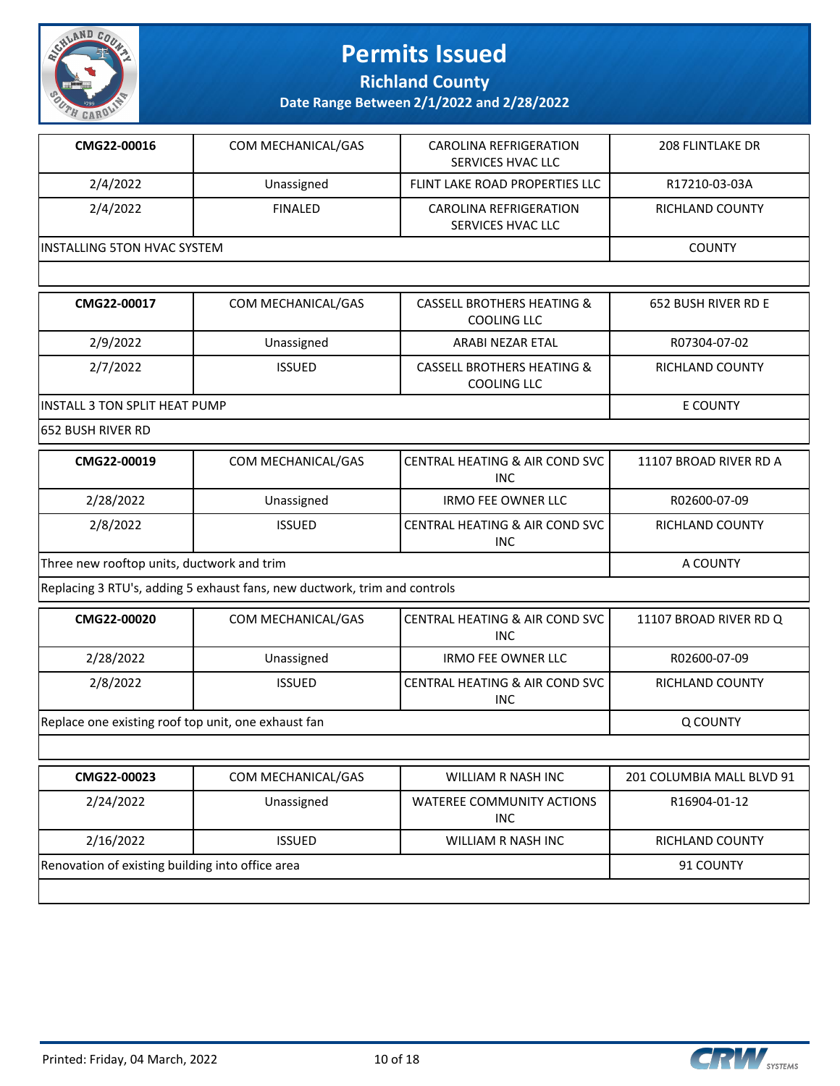

**Richland County**

**Date Range Between 2/1/2022 and 2/28/2022**

| CMG22-00016                                   | COM MECHANICAL/GAS                                                                                              | <b>CAROLINA REFRIGERATION</b><br>SERVICES HVAC LLC | <b>208 FLINTLAKE DR</b> |  |
|-----------------------------------------------|-----------------------------------------------------------------------------------------------------------------|----------------------------------------------------|-------------------------|--|
| 2/4/2022                                      | Unassigned                                                                                                      | FLINT LAKE ROAD PROPERTIES LLC                     | R17210-03-03A           |  |
| 2/4/2022                                      | <b>FINALED</b>                                                                                                  | <b>CAROLINA REFRIGERATION</b><br>SERVICES HVAC LLC | RICHLAND COUNTY         |  |
| IINSTALLING 5TON HVAC SYSTEM<br><b>COUNTY</b> |                                                                                                                 |                                                    |                         |  |
|                                               |                                                                                                                 |                                                    |                         |  |
|                                               | the contract of the contract of the contract of the contract of the contract of the contract of the contract of |                                                    |                         |  |

| CMG22-00017                    | COM MECHANICAL/GAS | CASSELL BROTHERS HEATING &<br>COOLING LLC | 652 BUSH RIVER RD E |
|--------------------------------|--------------------|-------------------------------------------|---------------------|
| 2/9/2022                       | Unassigned         | ARABI NEZAR ETAL                          | R07304-07-02        |
| 2/7/2022                       | <b>ISSUED</b>      | CASSELL BROTHERS HEATING &<br>COOLING LLC | RICHLAND COUNTY     |
| IINSTALL 3 TON SPLIT HEAT PUMP |                    |                                           | E COUNTY            |

652 BUSH RIVER RD

| CMG22-00019                                | COM MECHANICAL/GAS | I CENTRAL HEATING & AIR COND SVC<br><b>INC</b> | 11107 BROAD RIVER RD A |
|--------------------------------------------|--------------------|------------------------------------------------|------------------------|
| 2/28/2022                                  | Unassigned         | <b>IRMO FEE OWNER LLC</b>                      | R02600-07-09           |
| 2/8/2022                                   | <b>ISSUED</b>      | CENTRAL HEATING & AIR COND SVC<br><b>INC</b>   | RICHLAND COUNTY        |
| Three new rooftop units, ductwork and trim |                    |                                                | A COUNTY               |

Replacing 3 RTU's, adding 5 exhaust fans, new ductwork, trim and controls

| CMG22-00020                                         | COM MECHANICAL/GAS | <b>CENTRAL HEATING &amp; AIR COND SVC  </b><br>INC. | 11107 BROAD RIVER RD Q |
|-----------------------------------------------------|--------------------|-----------------------------------------------------|------------------------|
| 2/28/2022                                           | Unassigned         | <b>IRMO FEE OWNER LLC</b>                           | R02600-07-09           |
| 2/8/2022                                            | <b>ISSUED</b>      | CENTRAL HEATING & AIR COND SVC  <br><b>INC</b>      | RICHLAND COUNTY        |
| Replace one existing roof top unit, one exhaust fan |                    |                                                     | Q COUNTY               |

| CMG22-00023                                      | COM MECHANICAL/GAS | WILLIAM R NASH INC                      | 201 COLUMBIA MALL BLVD 91 |
|--------------------------------------------------|--------------------|-----------------------------------------|---------------------------|
| 2/24/2022                                        | Unassigned         | WATEREE COMMUNITY ACTIONS<br><b>INC</b> | R16904-01-12              |
| 2/16/2022                                        | <b>ISSUED</b>      | WILLIAM R NASH INC                      | <b>RICHLAND COUNTY</b>    |
| Renovation of existing building into office area |                    |                                         | 91 COUNTY                 |
|                                                  |                    |                                         |                           |



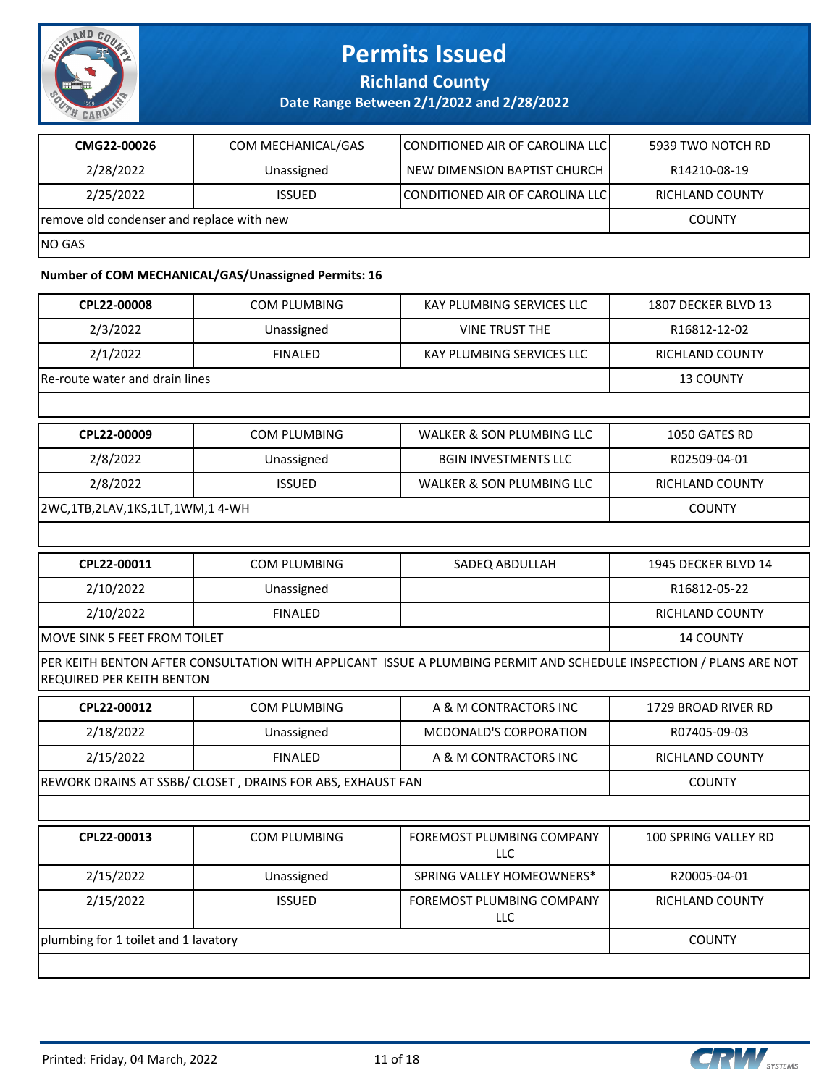

**Richland County**

**Date Range Between 2/1/2022 and 2/28/2022**

| CMG22-00026                               | COM MECHANICAL/GAS | <b>ICONDITIONED AIR OF CAROLINA LLCI</b> | 5939 TWO NOTCH RD |
|-------------------------------------------|--------------------|------------------------------------------|-------------------|
| 2/28/2022                                 | Unassigned         | NEW DIMENSION BAPTIST CHURCH             | R14210-08-19      |
| 2/25/2022                                 | <b>ISSUED</b>      | CONDITIONED AIR OF CAROLINA LLC          | RICHLAND COUNTY   |
| remove old condenser and replace with new |                    |                                          | <b>COUNTY</b>     |
| INO GAS                                   |                    |                                          |                   |

#### **Number of COM MECHANICAL/GAS/Unassigned Permits: 16**

| CPL22-00008                          | <b>COM PLUMBING</b>                                        | KAY PLUMBING SERVICES LLC                                                                                          | 1807 DECKER BLVD 13  |
|--------------------------------------|------------------------------------------------------------|--------------------------------------------------------------------------------------------------------------------|----------------------|
| 2/3/2022                             | Unassigned                                                 | <b>VINE TRUST THE</b>                                                                                              | R16812-12-02         |
| 2/1/2022                             | <b>FINALED</b>                                             | <b>KAY PLUMBING SERVICES LLC</b>                                                                                   | RICHLAND COUNTY      |
| Re-route water and drain lines       |                                                            |                                                                                                                    | 13 COUNTY            |
|                                      |                                                            |                                                                                                                    |                      |
| CPL22-00009                          | <b>COM PLUMBING</b>                                        | WALKER & SON PLUMBING LLC                                                                                          | 1050 GATES RD        |
| 2/8/2022                             | Unassigned                                                 | <b>BGIN INVESTMENTS LLC</b>                                                                                        | R02509-04-01         |
| 2/8/2022                             | <b>ISSUED</b>                                              | WALKER & SON PLUMBING LLC                                                                                          | RICHLAND COUNTY      |
| 2WC,1TB,2LAV,1KS,1LT,1WM,1 4-WH      |                                                            |                                                                                                                    | <b>COUNTY</b>        |
|                                      |                                                            |                                                                                                                    |                      |
| CPL22-00011                          | <b>COM PLUMBING</b>                                        | SADEQ ABDULLAH                                                                                                     | 1945 DECKER BLVD 14  |
| 2/10/2022                            | Unassigned                                                 |                                                                                                                    | R16812-05-22         |
| 2/10/2022                            | <b>FINALED</b>                                             |                                                                                                                    | RICHLAND COUNTY      |
| MOVE SINK 5 FEET FROM TOILET         | 14 COUNTY                                                  |                                                                                                                    |                      |
| REQUIRED PER KEITH BENTON            |                                                            | PER KEITH BENTON AFTER CONSULTATION WITH APPLICANT ISSUE A PLUMBING PERMIT AND SCHEDULE INSPECTION / PLANS ARE NOT |                      |
| CPL22-00012                          | <b>COM PLUMBING</b>                                        | A & M CONTRACTORS INC                                                                                              | 1729 BROAD RIVER RD  |
| 2/18/2022                            | Unassigned                                                 | <b>MCDONALD'S CORPORATION</b>                                                                                      | R07405-09-03         |
| 2/15/2022                            | <b>FINALED</b>                                             | A & M CONTRACTORS INC                                                                                              | RICHLAND COUNTY      |
|                                      | REWORK DRAINS AT SSBB/ CLOSET, DRAINS FOR ABS, EXHAUST FAN |                                                                                                                    | <b>COUNTY</b>        |
|                                      |                                                            |                                                                                                                    |                      |
| CPL22-00013                          | <b>COM PLUMBING</b>                                        | <b>FOREMOST PLUMBING COMPANY</b><br>LLC                                                                            | 100 SPRING VALLEY RD |
| 2/15/2022                            | Unassigned                                                 | SPRING VALLEY HOMEOWNERS*                                                                                          | R20005-04-01         |
| 2/15/2022                            | <b>ISSUED</b>                                              | FOREMOST PLUMBING COMPANY<br>LLC                                                                                   | RICHLAND COUNTY      |
| plumbing for 1 toilet and 1 lavatory |                                                            |                                                                                                                    | <b>COUNTY</b>        |
|                                      |                                                            |                                                                                                                    |                      |
|                                      |                                                            |                                                                                                                    |                      |

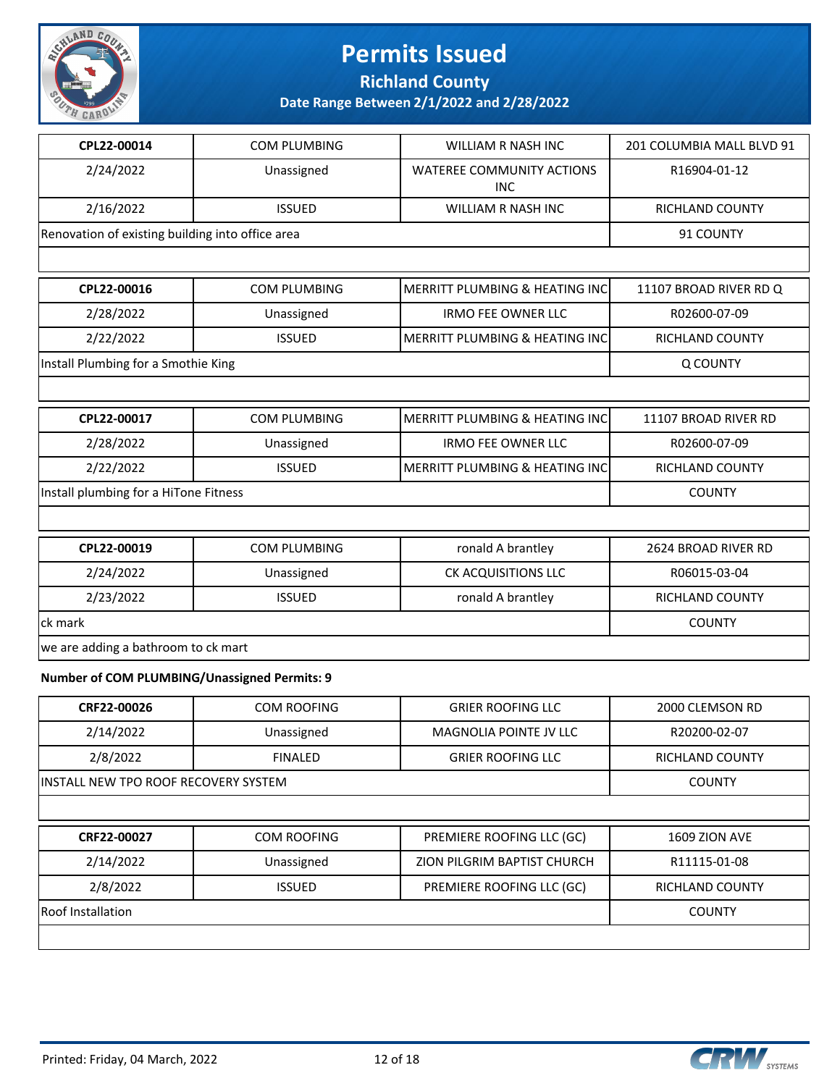

**Richland County**

| CPL22-00014                                         | <b>COM PLUMBING</b>                 | <b>WILLIAM R NASH INC</b>                 | 201 COLUMBIA MALL BLVD 91 |  |
|-----------------------------------------------------|-------------------------------------|-------------------------------------------|---------------------------|--|
| 2/24/2022                                           | Unassigned                          | WATEREE COMMUNITY ACTIONS<br>INC.         | R16904-01-12              |  |
| 2/16/2022                                           | <b>ISSUED</b>                       | WILLIAM R NASH INC                        | <b>RICHLAND COUNTY</b>    |  |
| Renovation of existing building into office area    |                                     |                                           | 91 COUNTY                 |  |
|                                                     |                                     |                                           |                           |  |
| CPL22-00016                                         | <b>COM PLUMBING</b>                 | MERRITT PLUMBING & HEATING INC            | 11107 BROAD RIVER RD Q    |  |
| 2/28/2022                                           | Unassigned                          | <b>IRMO FEE OWNER LLC</b>                 | R02600-07-09              |  |
| 2/22/2022                                           | <b>ISSUED</b>                       | <b>MERRITT PLUMBING &amp; HEATING INC</b> | RICHLAND COUNTY           |  |
| Install Plumbing for a Smothie King                 |                                     |                                           | Q COUNTY                  |  |
|                                                     |                                     |                                           |                           |  |
| CPL22-00017                                         | <b>COM PLUMBING</b>                 | MERRITT PLUMBING & HEATING INC            | 11107 BROAD RIVER RD      |  |
| 2/28/2022                                           | Unassigned                          | <b>IRMO FEE OWNER LLC</b>                 | R02600-07-09              |  |
| 2/22/2022                                           | <b>ISSUED</b>                       | MERRITT PLUMBING & HEATING INC            | RICHLAND COUNTY           |  |
| Install plumbing for a HiTone Fitness               |                                     |                                           | <b>COUNTY</b>             |  |
|                                                     |                                     |                                           |                           |  |
| CPL22-00019                                         | <b>COM PLUMBING</b>                 | ronald A brantley                         | 2624 BROAD RIVER RD       |  |
| 2/24/2022                                           | Unassigned                          | CK ACQUISITIONS LLC                       | R06015-03-04              |  |
| 2/23/2022                                           | <b>ISSUED</b>                       | ronald A brantley                         | <b>RICHLAND COUNTY</b>    |  |
| lck mark                                            |                                     |                                           | <b>COUNTY</b>             |  |
|                                                     | we are adding a bathroom to ck mart |                                           |                           |  |
| <b>Number of COM PLUMBING/Unassigned Permits: 9</b> |                                     |                                           |                           |  |

| CRF22-00026                           | COM ROOFING        | <b>GRIER ROOFING LLC</b>      | 2000 CLEMSON RD        |
|---------------------------------------|--------------------|-------------------------------|------------------------|
| 2/14/2022                             | Unassigned         | <b>MAGNOLIA POINTE JV LLC</b> | R20200-02-07           |
| 2/8/2022                              | <b>FINALED</b>     | <b>GRIER ROOFING LLC</b>      | <b>RICHLAND COUNTY</b> |
| IINSTALL NEW TPO ROOF RECOVERY SYSTEM | <b>COUNTY</b>      |                               |                        |
|                                       |                    |                               |                        |
|                                       |                    |                               |                        |
| CRF22-00027                           | <b>COM ROOFING</b> | PREMIERE ROOFING LLC (GC)     | <b>1609 ZION AVE</b>   |
| 2/14/2022                             | Unassigned         | ZION PILGRIM BAPTIST CHURCH   | R11115-01-08           |
| 2/8/2022                              | <b>ISSUED</b>      | PREMIERE ROOFING LLC (GC)     | <b>RICHLAND COUNTY</b> |
| Roof Installation                     |                    |                               | <b>COUNTY</b>          |

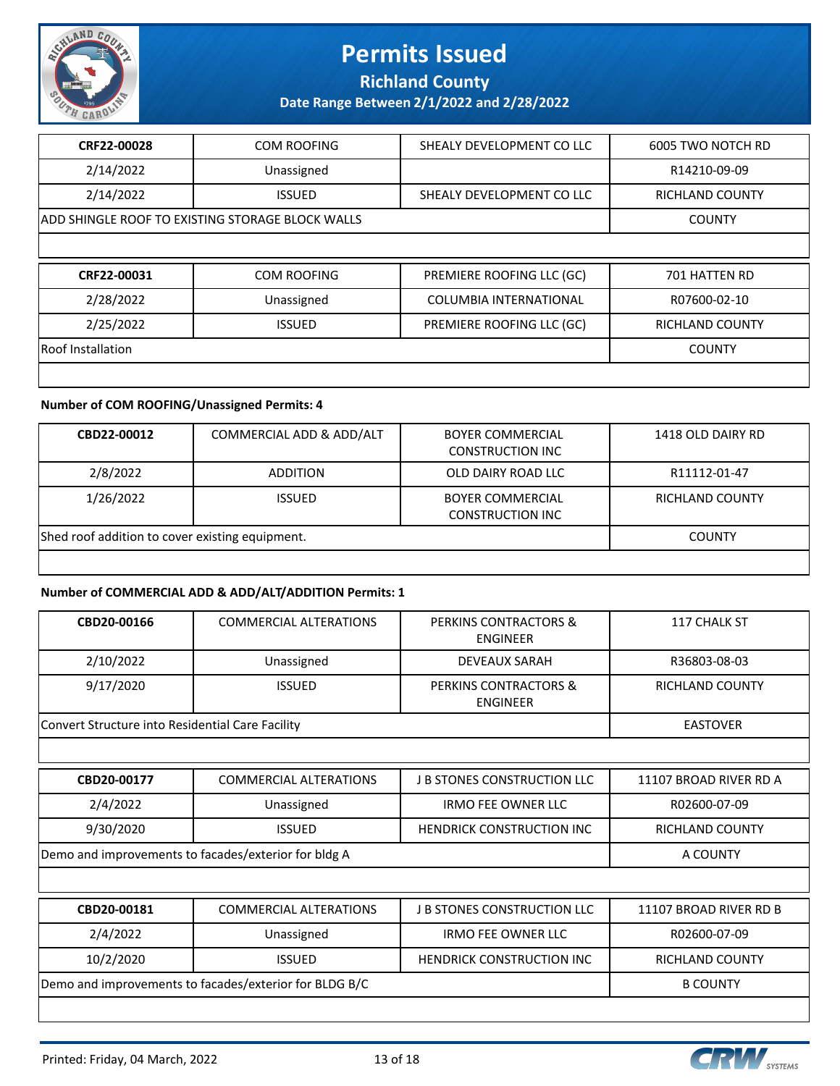

**Richland County**

**Date Range Between 2/1/2022 and 2/28/2022**

| CRF22-00028       | <b>COM ROOFING</b>                               | SHEALY DEVELOPMENT CO LLC     | 6005 TWO NOTCH RD      |  |  |
|-------------------|--------------------------------------------------|-------------------------------|------------------------|--|--|
| 2/14/2022         | Unassigned                                       |                               | R14210-09-09           |  |  |
| 2/14/2022         | <b>ISSUED</b>                                    | SHEALY DEVELOPMENT CO LLC     | <b>RICHLAND COUNTY</b> |  |  |
|                   | ADD SHINGLE ROOF TO EXISTING STORAGE BLOCK WALLS |                               |                        |  |  |
|                   |                                                  |                               |                        |  |  |
|                   |                                                  |                               |                        |  |  |
| CRF22-00031       | <b>COM ROOFING</b>                               | PREMIERE ROOFING LLC (GC)     | 701 HATTEN RD          |  |  |
| 2/28/2022         | Unassigned                                       | <b>COLUMBIA INTERNATIONAL</b> | R07600-02-10           |  |  |
| 2/25/2022         | <b>ISSUED</b>                                    | PREMIERE ROOFING LLC (GC)     | <b>RICHLAND COUNTY</b> |  |  |
| Roof Installation |                                                  |                               | <b>COUNTY</b>          |  |  |

#### **Number of COM ROOFING/Unassigned Permits: 4**

| CBD22-00012                                     | COMMERCIAL ADD & ADD/ALT | <b>BOYER COMMERCIAL</b><br><b>CONSTRUCTION INC</b> | 1418 OLD DAIRY RD |
|-------------------------------------------------|--------------------------|----------------------------------------------------|-------------------|
| 2/8/2022                                        | <b>ADDITION</b>          | OLD DAIRY ROAD LLC                                 | R11112-01-47      |
| 1/26/2022                                       | <b>ISSUED</b>            | <b>BOYER COMMERCIAL</b><br><b>CONSTRUCTION INC</b> | RICHLAND COUNTY   |
| Shed roof addition to cover existing equipment. | <b>COUNTY</b>            |                                                    |                   |
|                                                 |                          |                                                    |                   |

#### **Number of COMMERCIAL ADD & ADD/ALT/ADDITION Permits: 1**

| CBD20-00166                                      | <b>COMMERCIAL ALTERATIONS</b> | PERKINS CONTRACTORS &<br>ENGINEER | 117 CHALK ST    |
|--------------------------------------------------|-------------------------------|-----------------------------------|-----------------|
| 2/10/2022                                        | Unassigned                    | DEVEAUX SARAH                     | R36803-08-03    |
| 9/17/2020                                        | <b>ISSUED</b>                 | PERKINS CONTRACTORS &<br>ENGINEER | RICHLAND COUNTY |
| Convert Structure into Residential Care Facility |                               |                                   | EASTOVER        |

| CBD20-00177                                          | <b>COMMERCIAL ALTERATIONS</b> | <b>J B STONES CONSTRUCTION LLC</b> | 11107 BROAD RIVER RD A |
|------------------------------------------------------|-------------------------------|------------------------------------|------------------------|
| 2/4/2022                                             | Unassigned                    | IRMO FEE OWNER LLC                 | R02600-07-09           |
| 9/30/2020                                            | <b>ISSUED</b>                 | <b>HENDRICK CONSTRUCTION INC</b>   | RICHLAND COUNTY        |
| Demo and improvements to facades/exterior for bldg A |                               |                                    | A COUNTY               |

| CBD20-00181                                            | <b>COMMERCIAL ALTERATIONS</b> | <b>J B STONES CONSTRUCTION LLC</b> | 11107 BROAD RIVER RD B |
|--------------------------------------------------------|-------------------------------|------------------------------------|------------------------|
| 2/4/2022                                               | Unassigned                    | IRMO FEE OWNER LLC                 | R02600-07-09           |
| 10/2/2020                                              | <b>ISSUED</b>                 | <b>HENDRICK CONSTRUCTION INC</b>   | <b>RICHLAND COUNTY</b> |
| Demo and improvements to facades/exterior for BLDG B/C |                               |                                    | <b>B COUNTY</b>        |

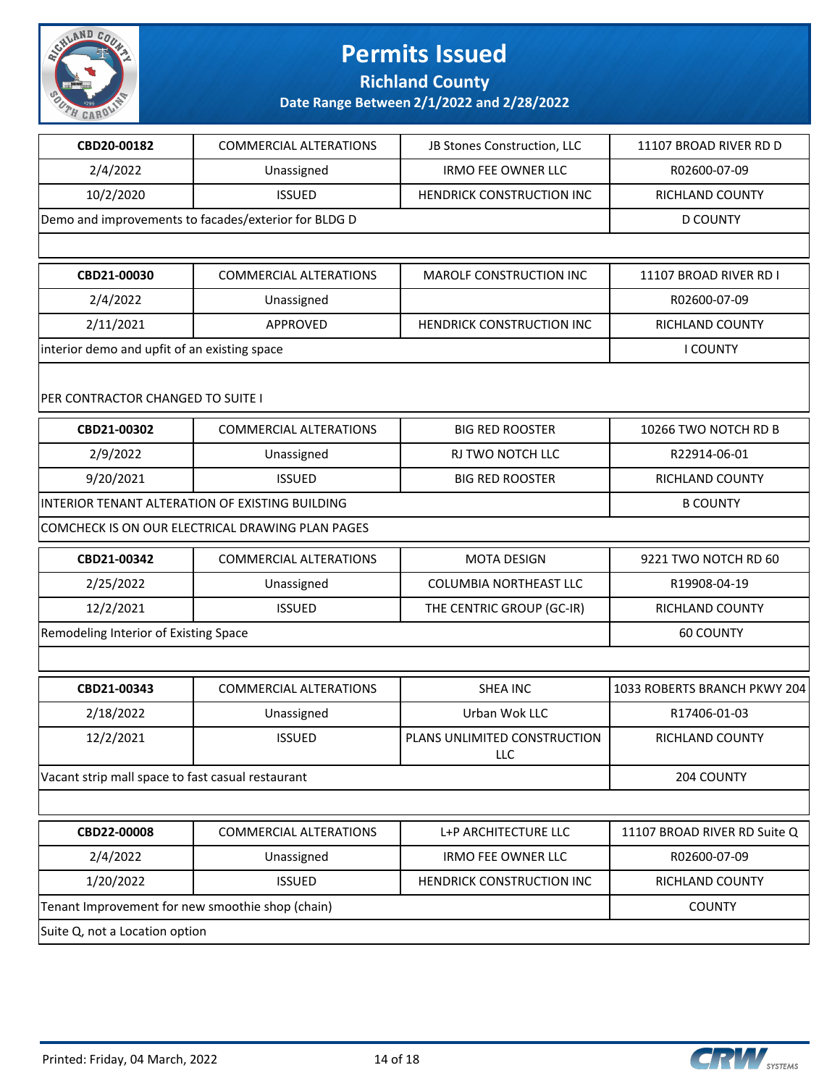

**Richland County**

| CBD20-00182                                       | <b>COMMERCIAL ALTERATIONS</b>                        | JB Stones Construction, LLC         | 11107 BROAD RIVER RD D       |
|---------------------------------------------------|------------------------------------------------------|-------------------------------------|------------------------------|
| 2/4/2022                                          | Unassigned                                           | <b>IRMO FEE OWNER LLC</b>           | R02600-07-09                 |
| 10/2/2020                                         | <b>ISSUED</b>                                        | HENDRICK CONSTRUCTION INC           | RICHLAND COUNTY              |
|                                                   | Demo and improvements to facades/exterior for BLDG D |                                     | <b>D COUNTY</b>              |
|                                                   |                                                      |                                     |                              |
| CBD21-00030                                       | <b>COMMERCIAL ALTERATIONS</b>                        | MAROLF CONSTRUCTION INC             | 11107 BROAD RIVER RD I       |
| 2/4/2022                                          | Unassigned                                           |                                     | R02600-07-09                 |
| 2/11/2021                                         | APPROVED                                             | HENDRICK CONSTRUCTION INC           | <b>RICHLAND COUNTY</b>       |
| interior demo and upfit of an existing space      |                                                      |                                     | <b>I COUNTY</b>              |
| PER CONTRACTOR CHANGED TO SUITE I                 |                                                      |                                     |                              |
| CBD21-00302                                       | <b>COMMERCIAL ALTERATIONS</b>                        | <b>BIG RED ROOSTER</b>              | 10266 TWO NOTCH RD B         |
| 2/9/2022                                          | Unassigned                                           | RJ TWO NOTCH LLC                    | R22914-06-01                 |
| 9/20/2021                                         | <b>ISSUED</b>                                        | <b>BIG RED ROOSTER</b>              | RICHLAND COUNTY              |
| INTERIOR TENANT ALTERATION OF EXISTING BUILDING   | <b>B COUNTY</b>                                      |                                     |                              |
|                                                   | COMCHECK IS ON OUR ELECTRICAL DRAWING PLAN PAGES     |                                     |                              |
| CBD21-00342                                       | <b>COMMERCIAL ALTERATIONS</b>                        | <b>MOTA DESIGN</b>                  | 9221 TWO NOTCH RD 60         |
| 2/25/2022                                         | Unassigned                                           | COLUMBIA NORTHEAST LLC              | R19908-04-19                 |
| 12/2/2021                                         | <b>ISSUED</b>                                        | THE CENTRIC GROUP (GC-IR)           | RICHLAND COUNTY              |
| Remodeling Interior of Existing Space             |                                                      |                                     | 60 COUNTY                    |
|                                                   |                                                      |                                     |                              |
| CBD21-00343                                       | <b>COMMERCIAL ALTERATIONS</b>                        | <b>SHEA INC</b>                     | 1033 ROBERTS BRANCH PKWY 204 |
| 2/18/2022                                         | Unassigned                                           | Urban Wok LLC                       | R17406-01-03                 |
| 12/2/2021                                         | <b>ISSUED</b>                                        | PLANS UNLIMITED CONSTRUCTION<br>LLC | <b>RICHLAND COUNTY</b>       |
| Vacant strip mall space to fast casual restaurant |                                                      |                                     | 204 COUNTY                   |
|                                                   |                                                      |                                     |                              |
| CBD22-00008                                       | <b>COMMERCIAL ALTERATIONS</b>                        | L+P ARCHITECTURE LLC                | 11107 BROAD RIVER RD Suite Q |
| 2/4/2022                                          | Unassigned                                           | <b>IRMO FEE OWNER LLC</b>           | R02600-07-09                 |
| 1/20/2022                                         | <b>ISSUED</b>                                        | HENDRICK CONSTRUCTION INC           | RICHLAND COUNTY              |
| Tenant Improvement for new smoothie shop (chain)  |                                                      |                                     | <b>COUNTY</b>                |
| Suite Q, not a Location option                    |                                                      |                                     |                              |

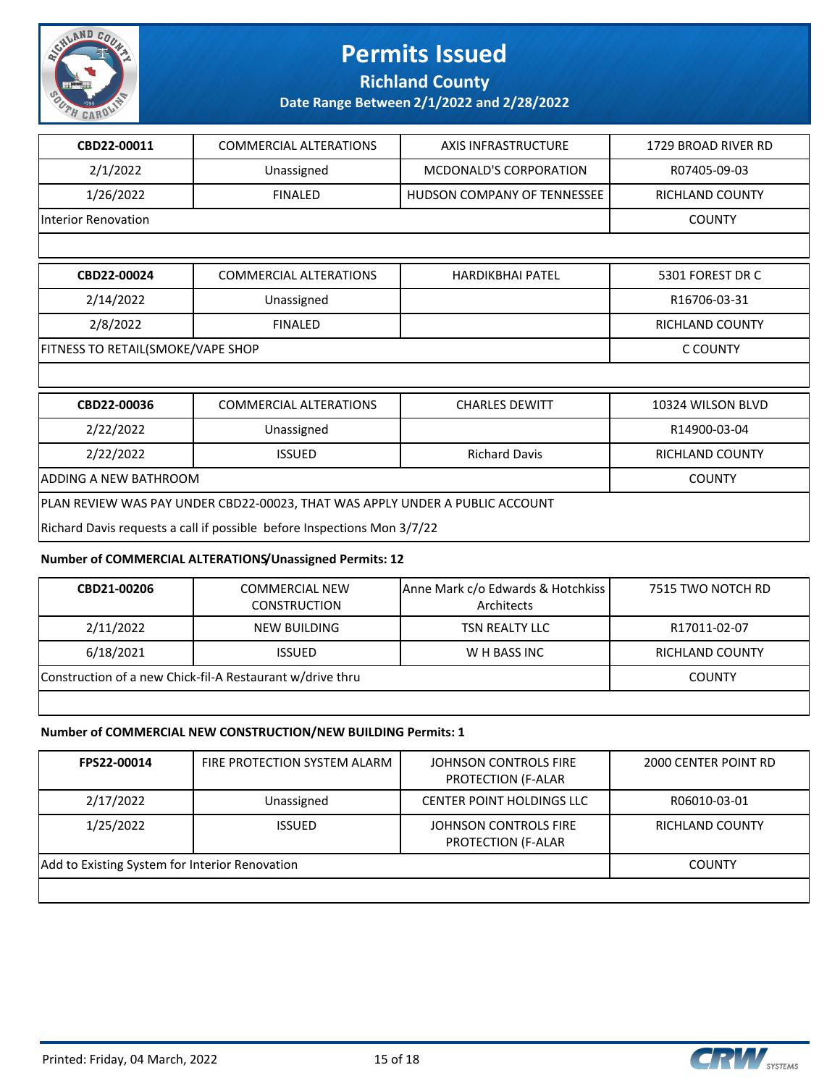

**Richland County**

**Date Range Between 2/1/2022 and 2/28/2022**

| CBD22-00011                                                                  | <b>COMMERCIAL ALTERATIONS</b>                                           | <b>AXIS INFRASTRUCTURE</b>         | 1729 BROAD RIVER RD    |  |
|------------------------------------------------------------------------------|-------------------------------------------------------------------------|------------------------------------|------------------------|--|
| 2/1/2022                                                                     | Unassigned                                                              | <b>MCDONALD'S CORPORATION</b>      | R07405-09-03           |  |
| 1/26/2022                                                                    | <b>FINALED</b>                                                          | <b>HUDSON COMPANY OF TENNESSEE</b> | <b>RICHLAND COUNTY</b> |  |
| Interior Renovation                                                          |                                                                         |                                    | <b>COUNTY</b>          |  |
|                                                                              |                                                                         |                                    |                        |  |
| CBD22-00024                                                                  | <b>COMMERCIAL ALTERATIONS</b>                                           | <b>HARDIKBHAI PATEL</b>            | 5301 FOREST DR C       |  |
| 2/14/2022                                                                    | Unassigned                                                              |                                    | R16706-03-31           |  |
| 2/8/2022                                                                     | <b>FINALED</b>                                                          |                                    | <b>RICHLAND COUNTY</b> |  |
| FITNESS TO RETAIL(SMOKE/VAPE SHOP                                            |                                                                         |                                    | C COUNTY               |  |
|                                                                              |                                                                         |                                    |                        |  |
| CBD22-00036                                                                  | <b>COMMERCIAL ALTERATIONS</b>                                           | <b>CHARLES DEWITT</b>              | 10324 WILSON BLVD      |  |
| 2/22/2022                                                                    | Unassigned                                                              |                                    | R14900-03-04           |  |
| 2/22/2022                                                                    | <b>ISSUED</b>                                                           | <b>Richard Davis</b>               | <b>RICHLAND COUNTY</b> |  |
| <b>ADDING A NEW BATHROOM</b>                                                 |                                                                         |                                    | <b>COUNTY</b>          |  |
| PLAN REVIEW WAS PAY UNDER CBD22-00023, THAT WAS APPLY UNDER A PUBLIC ACCOUNT |                                                                         |                                    |                        |  |
|                                                                              | Richard Davis requests a call if possible before Inspections Mon 3/7/22 |                                    |                        |  |

#### **Number of COMMERCIAL ALTERATIONS/Unassigned Permits: 12**

| CBD21-00206                                               | COMMERCIAL NEW<br><b>CONSTRUCTION</b> | Anne Mark c/o Edwards & Hotchkiss<br>Architects | 7515 TWO NOTCH RD |
|-----------------------------------------------------------|---------------------------------------|-------------------------------------------------|-------------------|
| 2/11/2022                                                 | NEW BUILDING                          | <b>TSN REALTY LLC</b>                           | R17011-02-07      |
| 6/18/2021                                                 | <b>ISSUED</b>                         | W H BASS INC                                    | RICHLAND COUNTY   |
| Construction of a new Chick-fil-A Restaurant w/drive thru |                                       |                                                 | <b>COUNTY</b>     |

#### **Number of COMMERCIAL NEW CONSTRUCTION/NEW BUILDING Permits: 1**

| FPS22-00014                                    | FIRE PROTECTION SYSTEM ALARM | JOHNSON CONTROLS FIRE<br><b>PROTECTION (F-ALAR</b> | 2000 CENTER POINT RD   |
|------------------------------------------------|------------------------------|----------------------------------------------------|------------------------|
| 2/17/2022                                      | Unassigned                   | <b>CENTER POINT HOLDINGS LLC</b>                   | R06010-03-01           |
| 1/25/2022                                      | <b>ISSUED</b>                | JOHNSON CONTROLS FIRE<br><b>PROTECTION (F-ALAR</b> | <b>RICHLAND COUNTY</b> |
| Add to Existing System for Interior Renovation |                              |                                                    | <b>COUNTY</b>          |
|                                                |                              |                                                    |                        |

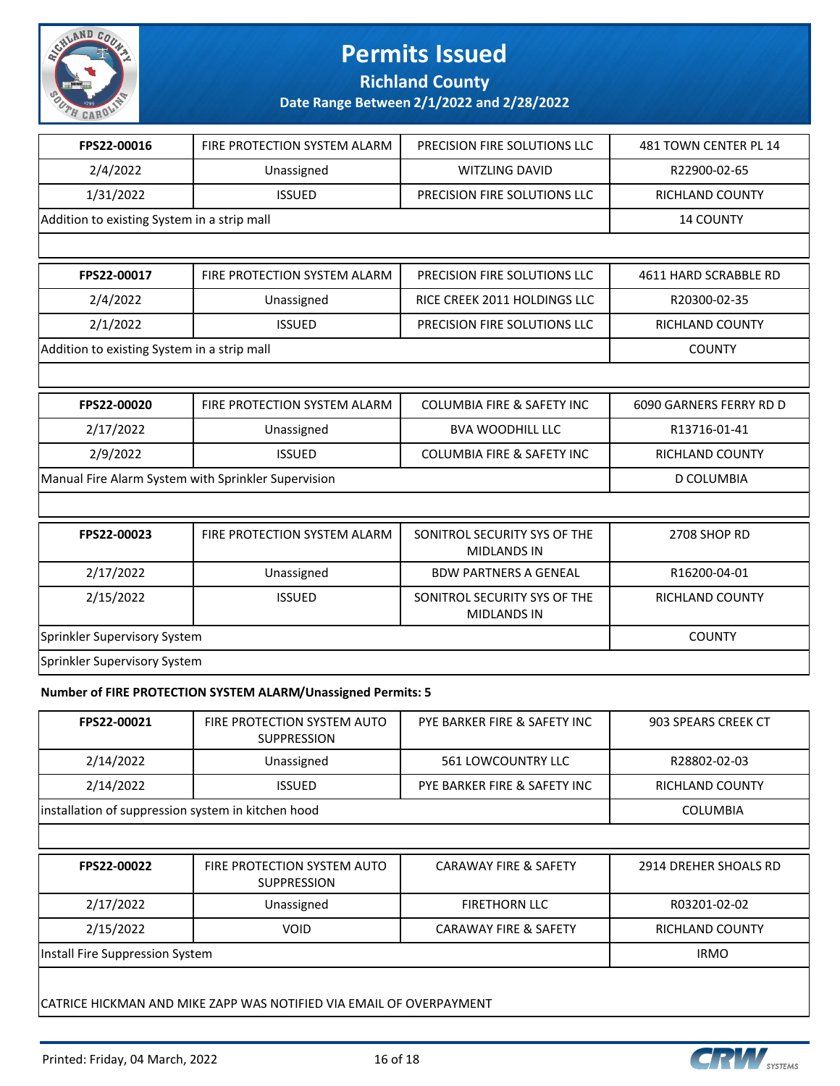

**Richland County**

**Date Range Between 2/1/2022 and 2/28/2022**

| FPS22-00016                                         | FIRE PROTECTION SYSTEM ALARM                                 | PRECISION FIRE SOLUTIONS LLC                       | 481 TOWN CENTER PL 14   |
|-----------------------------------------------------|--------------------------------------------------------------|----------------------------------------------------|-------------------------|
| 2/4/2022                                            | Unassigned                                                   | <b>WITZLING DAVID</b>                              | R22900-02-65            |
| 1/31/2022                                           | <b>ISSUED</b>                                                | PRECISION FIRE SOLUTIONS LLC                       | RICHLAND COUNTY         |
| Addition to existing System in a strip mall         |                                                              |                                                    | <b>14 COUNTY</b>        |
|                                                     |                                                              |                                                    |                         |
| FPS22-00017                                         | FIRE PROTECTION SYSTEM ALARM                                 | PRECISION FIRE SOLUTIONS LLC                       | 4611 HARD SCRABBLE RD   |
| 2/4/2022                                            | Unassigned                                                   | RICE CREEK 2011 HOLDINGS LLC                       | R20300-02-35            |
| 2/1/2022                                            | <b>ISSUED</b>                                                | PRECISION FIRE SOLUTIONS LLC                       | <b>RICHLAND COUNTY</b>  |
| Addition to existing System in a strip mall         |                                                              |                                                    | <b>COUNTY</b>           |
|                                                     |                                                              |                                                    |                         |
| FPS22-00020                                         | FIRE PROTECTION SYSTEM ALARM                                 | <b>COLUMBIA FIRE &amp; SAFETY INC</b>              | 6090 GARNERS FERRY RD D |
| 2/17/2022                                           | Unassigned                                                   | <b>BVA WOODHILL LLC</b>                            | R13716-01-41            |
| 2/9/2022                                            | <b>ISSUED</b>                                                | <b>COLUMBIA FIRE &amp; SAFETY INC</b>              | <b>RICHLAND COUNTY</b>  |
| Manual Fire Alarm System with Sprinkler Supervision |                                                              |                                                    | <b>D COLUMBIA</b>       |
|                                                     |                                                              |                                                    |                         |
| FPS22-00023                                         | FIRE PROTECTION SYSTEM ALARM                                 | SONITROL SECURITY SYS OF THE<br><b>MIDLANDS IN</b> | 2708 SHOP RD            |
| 2/17/2022                                           | Unassigned                                                   | <b>BDW PARTNERS A GENEAL</b>                       | R16200-04-01            |
| 2/15/2022                                           | <b>ISSUED</b>                                                | SONITROL SECURITY SYS OF THE<br><b>MIDLANDS IN</b> | RICHLAND COUNTY         |
| Sprinkler Supervisory System                        |                                                              |                                                    | <b>COUNTY</b>           |
| Sprinkler Supervisory System                        |                                                              |                                                    |                         |
|                                                     | Number of FIRE PROTECTION SYSTEM ALARM/Unassigned Permits: 5 |                                                    |                         |
|                                                     |                                                              |                                                    |                         |

| FPS22-00021                                        | FIRE PROTECTION SYSTEM AUTO<br><b>SUPPRESSION</b> | PYE BARKER FIRE & SAFETY INC | 903 SPEARS CREEK CT |
|----------------------------------------------------|---------------------------------------------------|------------------------------|---------------------|
| 2/14/2022                                          | Unassigned                                        | 561 LOWCOUNTRY LLC           | R28802-02-03        |
| 2/14/2022                                          | <b>ISSUED</b>                                     | PYE BARKER FIRE & SAFETY INC | RICHLAND COUNTY     |
| installation of suppression system in kitchen hood |                                                   |                              | COLUMBIA            |
|                                                    |                                                   |                              |                     |

| FPS22-00022                     | FIRE PROTECTION SYSTEM AUTO<br>SUPPRESSION | <b>CARAWAY FIRE &amp; SAFETY</b> | 2914 DREHER SHOALS RD |
|---------------------------------|--------------------------------------------|----------------------------------|-----------------------|
| 2/17/2022                       | Unassigned                                 | <b>FIRETHORN LLC</b>             | R03201-02-02          |
| 2/15/2022                       | VOID                                       | <b>CARAWAY FIRE &amp; SAFETY</b> | RICHLAND COUNTY       |
| Install Fire Suppression System |                                            |                                  | <b>IRMO</b>           |
|                                 |                                            |                                  |                       |

CATRICE HICKMAN AND MIKE ZAPP WAS NOTIFIED VIA EMAIL OF OVERPAYMENT

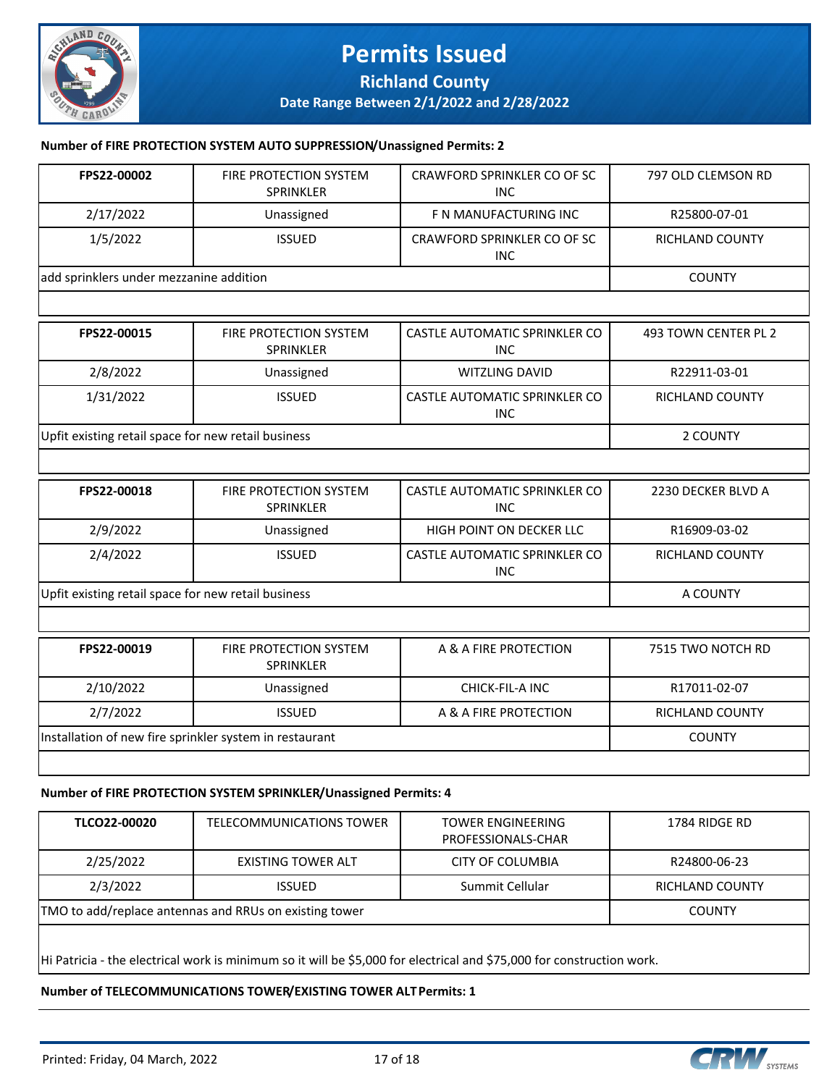

### **Permits Issued Richland County**

**Date Range Between 2/1/2022 and 2/28/2022**

#### **Number of FIRE PROTECTION SYSTEM AUTO SUPPRESSION/Unassigned Permits: 2**

| FPS22-00002                                             | FIRE PROTECTION SYSTEM<br><b>SPRINKLER</b>                       | CRAWFORD SPRINKLER CO OF SC<br><b>INC</b>   | 797 OLD CLEMSON RD   |
|---------------------------------------------------------|------------------------------------------------------------------|---------------------------------------------|----------------------|
| 2/17/2022                                               | Unassigned                                                       | F N MANUFACTURING INC                       | R25800-07-01         |
| 1/5/2022                                                | <b>ISSUED</b>                                                    | CRAWFORD SPRINKLER CO OF SC<br><b>INC</b>   | RICHLAND COUNTY      |
| add sprinklers under mezzanine addition                 |                                                                  |                                             | <b>COUNTY</b>        |
|                                                         |                                                                  |                                             |                      |
| FPS22-00015                                             | FIRE PROTECTION SYSTEM<br>SPRINKLER                              | CASTLE AUTOMATIC SPRINKLER CO<br><b>INC</b> | 493 TOWN CENTER PL 2 |
| 2/8/2022                                                | Unassigned                                                       | WITZLING DAVID                              | R22911-03-01         |
| 1/31/2022                                               | <b>ISSUED</b>                                                    | CASTLE AUTOMATIC SPRINKLER CO<br><b>INC</b> | RICHLAND COUNTY      |
| Upfit existing retail space for new retail business     |                                                                  |                                             | 2 COUNTY             |
|                                                         |                                                                  |                                             |                      |
| FPS22-00018                                             | FIRE PROTECTION SYSTEM<br>SPRINKLER                              | CASTLE AUTOMATIC SPRINKLER CO<br><b>INC</b> | 2230 DECKER BLVD A   |
| 2/9/2022                                                | Unassigned                                                       | HIGH POINT ON DECKER LLC                    | R16909-03-02         |
| 2/4/2022                                                | <b>ISSUED</b>                                                    | CASTLE AUTOMATIC SPRINKLER CO<br><b>INC</b> | RICHLAND COUNTY      |
| Upfit existing retail space for new retail business     |                                                                  |                                             | A COUNTY             |
|                                                         |                                                                  |                                             |                      |
| FPS22-00019                                             | FIRE PROTECTION SYSTEM<br>SPRINKLER                              | A & A FIRE PROTECTION                       | 7515 TWO NOTCH RD    |
| 2/10/2022                                               | Unassigned                                                       | CHICK-FIL-A INC                             | R17011-02-07         |
| 2/7/2022                                                | <b>ISSUED</b>                                                    | A & A FIRE PROTECTION                       | RICHLAND COUNTY      |
| Installation of new fire sprinkler system in restaurant |                                                                  |                                             | <b>COUNTY</b>        |
|                                                         |                                                                  |                                             |                      |
|                                                         | Number of FIRE PROTECTION SYSTEM SPRINKLER/Unassigned Permits: 4 |                                             |                      |
| $n \wedge n \wedge n \wedge n \wedge n$                 | $T = 50014141110177011072011070$                                 | TOUCH FUOLUTEDING                           | 17010000000          |

| TLCO22-00020 | TELECOMMUNICATIONS TOWER                               | <b>TOWER ENGINEERING</b><br>PROFESSIONALS-CHAR | 1784 RIDGE RD   |
|--------------|--------------------------------------------------------|------------------------------------------------|-----------------|
| 2/25/2022    | EXISTING TOWER ALT                                     | CITY OF COLUMBIA                               | R24800-06-23    |
| 2/3/2022     | <b>ISSUED</b>                                          | Summit Cellular                                | RICHLAND COUNTY |
|              | TMO to add/replace antennas and RRUs on existing tower |                                                | <b>COUNTY</b>   |
|              |                                                        |                                                |                 |

Hi Patricia - the electrical work is minimum so it will be \$5,000 for electrical and \$75,000 for construction work.

#### **Number of TELECOMMUNICATIONS TOWER/EXISTING TOWER ALT Permits: 1**